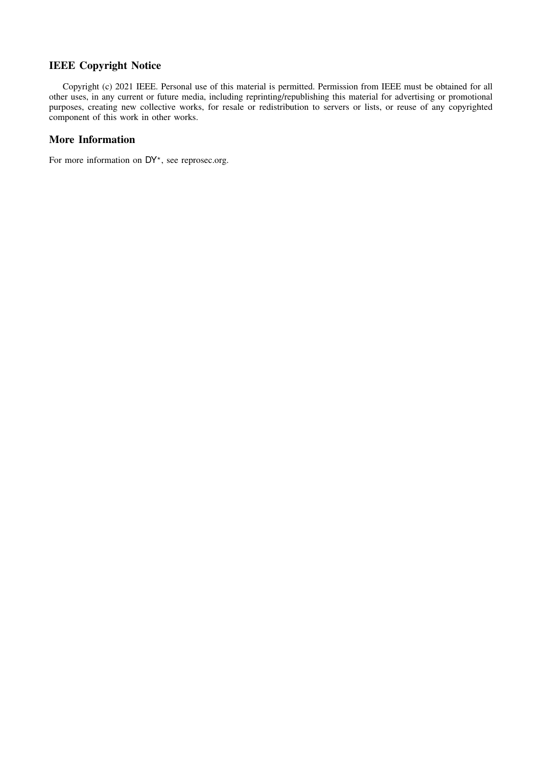# IEEE Copyright Notice

Copyright (c) 2021 IEEE. Personal use of this material is permitted. Permission from IEEE must be obtained for all other uses, in any current or future media, including reprinting/republishing this material for advertising or promotional purposes, creating new collective works, for resale or redistribution to servers or lists, or reuse of any copyrighted component of this work in other works.

## More Information

For more information on DY\*, see [reprosec.org.](https://reprosec.org)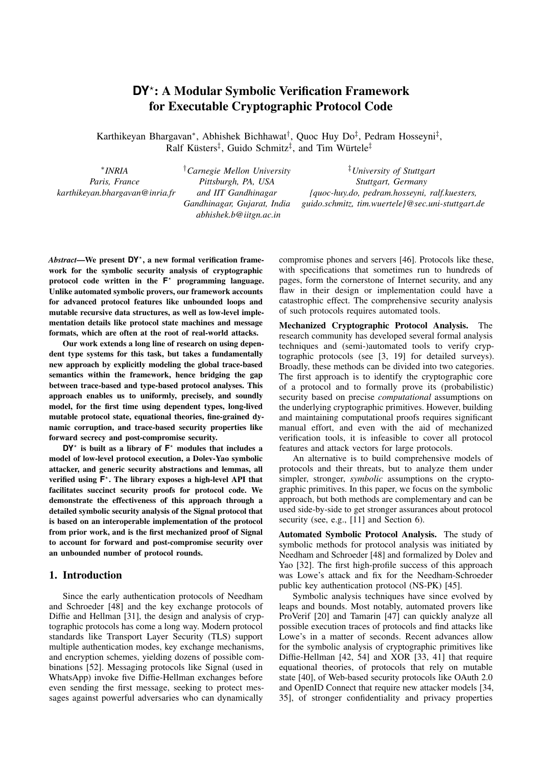# **DY**? : A Modular Symbolic Verification Framework for Executable Cryptographic Protocol Code

Karthikeyan Bhargavan<sup>∗</sup>, Abhishek Bichhawat<sup>†</sup>, Quoc Huy Do<sup>‡</sup>, Pedram Hosseyni<sup>‡</sup>, Ralf Küsters<sup>‡</sup>, Guido Schmitz<sup>‡</sup>, and Tim Würtele<sup>‡</sup>

∗ *INRIA Paris, France karthikeyan.bhargavan@inria.fr* †*Carnegie Mellon University Pittsburgh, PA, USA and IIT Gandhinagar Gandhinagar, Gujarat, India abhishek.b@iitgn.ac.in*

‡*University of Stuttgart Stuttgart, Germany {quoc-huy.do, pedram.hosseyni, ralf.kuesters, guido.schmitz, tim.wuertele}@sec.uni-stuttgart.de*

*Abstract*—We present **DY**? , a new formal verification framework for the symbolic security analysis of cryptographic protocol code written in the  $F^*$  programming language. Unlike automated symbolic provers, our framework accounts for advanced protocol features like unbounded loops and mutable recursive data structures, as well as low-level implementation details like protocol state machines and message formats, which are often at the root of real-world attacks.

Our work extends a long line of research on using dependent type systems for this task, but takes a fundamentally new approach by explicitly modeling the global trace-based semantics within the framework, hence bridging the gap between trace-based and type-based protocol analyses. This approach enables us to uniformly, precisely, and soundly model, for the first time using dependent types, long-lived mutable protocol state, equational theories, fine-grained dynamic corruption, and trace-based security properties like forward secrecy and post-compromise security.

 $DY^*$  is built as a library of  $F^*$  modules that includes a model of low-level protocol execution, a Dolev-Yao symbolic attacker, and generic security abstractions and lemmas, all verified using  $F^*$ . The library exposes a high-level API that facilitates succinct security proofs for protocol code. We demonstrate the effectiveness of this approach through a detailed symbolic security analysis of the Signal protocol that is based on an interoperable implementation of the protocol from prior work, and is the first mechanized proof of Signal to account for forward and post-compromise security over an unbounded number of protocol rounds.

#### <span id="page-1-0"></span>1. Introduction

Since the early authentication protocols of Needham and Schroeder [\[48\]](#page-16-0) and the key exchange protocols of Diffie and Hellman [\[31\]](#page-16-1), the design and analysis of cryptographic protocols has come a long way. Modern protocol standards like Transport Layer Security (TLS) support multiple authentication modes, key exchange mechanisms, and encryption schemes, yielding dozens of possible combinations [\[52\]](#page-16-2). Messaging protocols like Signal (used in WhatsApp) invoke five Diffie-Hellman exchanges before even sending the first message, seeking to protect messages against powerful adversaries who can dynamically

compromise phones and servers [\[46\]](#page-16-3). Protocols like these, with specifications that sometimes run to hundreds of pages, form the cornerstone of Internet security, and any flaw in their design or implementation could have a catastrophic effect. The comprehensive security analysis of such protocols requires automated tools.

Mechanized Cryptographic Protocol Analysis. The research community has developed several formal analysis techniques and (semi-)automated tools to verify cryptographic protocols (see [\[3,](#page-15-0) [19\]](#page-15-1) for detailed surveys). Broadly, these methods can be divided into two categories. The first approach is to identify the cryptographic core of a protocol and to formally prove its (probabilistic) security based on precise *computational* assumptions on the underlying cryptographic primitives. However, building and maintaining computational proofs requires significant manual effort, and even with the aid of mechanized verification tools, it is infeasible to cover all protocol features and attack vectors for large protocols.

An alternative is to build comprehensive models of protocols and their threats, but to analyze them under simpler, stronger, *symbolic* assumptions on the cryptographic primitives. In this paper, we focus on the symbolic approach, but both methods are complementary and can be used side-by-side to get stronger assurances about protocol security (see, e.g., [\[11\]](#page-15-2) and Section [6\)](#page-14-0).

Automated Symbolic Protocol Analysis. The study of symbolic methods for protocol analysis was initiated by Needham and Schroeder [\[48\]](#page-16-0) and formalized by Dolev and Yao [\[32\]](#page-16-4). The first high-profile success of this approach was Lowe's attack and fix for the Needham-Schroeder public key authentication protocol (NS-PK) [\[45\]](#page-16-5).

Symbolic analysis techniques have since evolved by leaps and bounds. Most notably, automated provers like ProVerif [\[20\]](#page-15-3) and Tamarin [\[47\]](#page-16-6) can quickly analyze all possible execution traces of protocols and find attacks like Lowe's in a matter of seconds. Recent advances allow for the symbolic analysis of cryptographic primitives like Diffie-Hellman [\[42,](#page-16-7) [54\]](#page-16-8) and XOR [\[33,](#page-16-9) [41\]](#page-16-10) that require equational theories, of protocols that rely on mutable state [\[40\]](#page-16-11), of Web-based security protocols like OAuth 2.0 and OpenID Connect that require new attacker models [\[34,](#page-16-12) [35\]](#page-16-13), of stronger confidentiality and privacy properties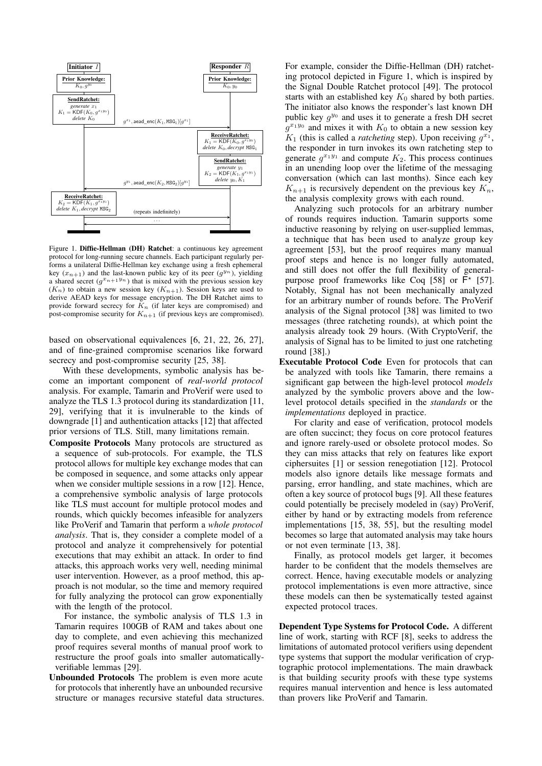

<span id="page-2-0"></span>Figure 1. Diffie-Hellman (DH) Ratchet: a continuous key agreement protocol for long-running secure channels. Each participant regularly performs a unilateral Diffie-Hellman key exchange using a fresh ephemeral key  $(x_{n+1})$  and the last-known public key of its peer  $(g^{y_n})$ , yielding a shared secret  $(g^{x_{n+1}y_n})$  that is mixed with the previous session key  $(K_n)$  to obtain a new session key  $(K_{n+1})$ . Session keys are used to derive AEAD keys for message encryption. The DH Ratchet aims to provide forward secrecy for  $K_n$  (if later keys are compromised) and post-compromise security for  $K_{n+1}$  (if previous keys are compromised).

based on observational equivalences [\[6,](#page-15-4) [21,](#page-15-5) [22,](#page-15-6) [26,](#page-15-7) [27\]](#page-16-14), and of fine-grained compromise scenarios like forward secrecy and post-compromise security [\[25,](#page-15-8) [38\]](#page-16-15).

With these developments, symbolic analysis has become an important component of *real-world protocol* analysis. For example, Tamarin and ProVerif were used to analyze the TLS 1.3 protocol during its standardization [\[11,](#page-15-2) [29\]](#page-16-16), verifying that it is invulnerable to the kinds of downgrade [\[1\]](#page-15-9) and authentication attacks [\[12\]](#page-15-10) that affected prior versions of TLS. Still, many limitations remain.

Composite Protocols Many protocols are structured as a sequence of sub-protocols. For example, the TLS protocol allows for multiple key exchange modes that can be composed in sequence, and some attacks only appear when we consider multiple sessions in a row [\[12\]](#page-15-10). Hence, a comprehensive symbolic analysis of large protocols like TLS must account for multiple protocol modes and rounds, which quickly becomes infeasible for analyzers like ProVerif and Tamarin that perform a *whole protocol analysis*. That is, they consider a complete model of a protocol and analyze it comprehensively for potential executions that may exhibit an attack. In order to find attacks, this approach works very well, needing minimal user intervention. However, as a proof method, this approach is not modular, so the time and memory required for fully analyzing the protocol can grow exponentially with the length of the protocol.

For instance, the symbolic analysis of TLS 1.3 in Tamarin requires 100GB of RAM and takes about one day to complete, and even achieving this mechanized proof requires several months of manual proof work to restructure the proof goals into smaller automaticallyverifiable lemmas [\[29\]](#page-16-16).

Unbounded Protocols The problem is even more acute for protocols that inherently have an unbounded recursive structure or manages recursive stateful data structures.

For example, consider the Diffie-Hellman (DH) ratcheting protocol depicted in Figure [1,](#page-2-0) which is inspired by the Signal Double Ratchet protocol [\[49\]](#page-16-17). The protocol starts with an established key  $K_0$  shared by both parties. The initiator also knows the responder's last known DH public key  $g^{y_0}$  and uses it to generate a fresh DH secret  $g^{x_1y_0}$  and mixes it with  $K_0$  to obtain a new session key  $K_1$  (this is called a *ratcheting* step). Upon receiving  $g^{x_1}$ , the responder in turn invokes its own ratcheting step to generate  $g^{x_1y_1}$  and compute  $K_2$ . This process continues in an unending loop over the lifetime of the messaging conversation (which can last months). Since each key  $K_{n+1}$  is recursively dependent on the previous key  $K_n$ , the analysis complexity grows with each round.

Analyzing such protocols for an arbitrary number of rounds requires induction. Tamarin supports some inductive reasoning by relying on user-supplied lemmas, a technique that has been used to analyze group key agreement [\[53\]](#page-16-18), but the proof requires many manual proof steps and hence is no longer fully automated, and still does not offer the full flexibility of general-purpose proof frameworks like Coq [\[58\]](#page-16-19) or  $F^*$  [\[57\]](#page-16-20). Notably, Signal has not been mechanically analyzed for an arbitrary number of rounds before. The ProVerif analysis of the Signal protocol [\[38\]](#page-16-15) was limited to two messages (three ratcheting rounds), at which point the analysis already took 29 hours. (With CryptoVerif, the analysis of Signal has to be limited to just one ratcheting round [\[38\]](#page-16-15).)

Executable Protocol Code Even for protocols that can be analyzed with tools like Tamarin, there remains a significant gap between the high-level protocol *models* analyzed by the symbolic provers above and the lowlevel protocol details specified in the *standards* or the *implementations* deployed in practice.

For clarity and ease of verification, protocol models are often succinct; they focus on core protocol features and ignore rarely-used or obsolete protocol modes. So they can miss attacks that rely on features like export ciphersuites [\[1\]](#page-15-9) or session renegotiation [\[12\]](#page-15-10). Protocol models also ignore details like message formats and parsing, error handling, and state machines, which are often a key source of protocol bugs [\[9\]](#page-15-11). All these features could potentially be precisely modeled in (say) ProVerif, either by hand or by extracting models from reference implementations [\[15,](#page-15-12) [38,](#page-16-15) [55\]](#page-16-21), but the resulting model becomes so large that automated analysis may take hours or not even terminate [\[13,](#page-15-13) [38\]](#page-16-15).

Finally, as protocol models get larger, it becomes harder to be confident that the models themselves are correct. Hence, having executable models or analyzing protocol implementations is even more attractive, since these models can then be systematically tested against expected protocol traces.

Dependent Type Systems for Protocol Code. A different line of work, starting with RCF [\[8\]](#page-15-14), seeks to address the limitations of automated protocol verifiers using dependent type systems that support the modular verification of cryptographic protocol implementations. The main drawback is that building security proofs with these type systems requires manual intervention and hence is less automated than provers like ProVerif and Tamarin.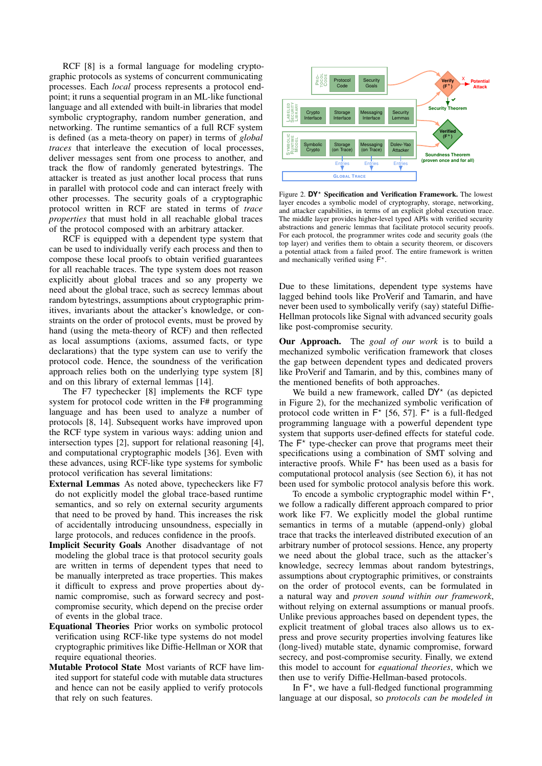RCF [\[8\]](#page-15-14) is a formal language for modeling cryptographic protocols as systems of concurrent communicating processes. Each *local* process represents a protocol endpoint; it runs a sequential program in an ML-like functional language and all extended with built-in libraries that model symbolic cryptography, random number generation, and networking. The runtime semantics of a full RCF system is defined (as a meta-theory on paper) in terms of *global traces* that interleave the execution of local processes, deliver messages sent from one process to another, and track the flow of randomly generated bytestrings. The attacker is treated as just another local process that runs in parallel with protocol code and can interact freely with other processes. The security goals of a cryptographic protocol written in RCF are stated in terms of *trace properties* that must hold in all reachable global traces of the protocol composed with an arbitrary attacker.

RCF is equipped with a dependent type system that can be used to individually verify each process and then to compose these local proofs to obtain verified guarantees for all reachable traces. The type system does not reason explicitly about global traces and so any property we need about the global trace, such as secrecy lemmas about random bytestrings, assumptions about cryptographic primitives, invariants about the attacker's knowledge, or constraints on the order of protocol events, must be proved by hand (using the meta-theory of RCF) and then reflected as local assumptions (axioms, assumed facts, or type declarations) that the type system can use to verify the protocol code. Hence, the soundness of the verification approach relies both on the underlying type system [\[8\]](#page-15-14) and on this library of external lemmas [\[14\]](#page-15-15).

The F7 typechecker [\[8\]](#page-15-14) implements the RCF type system for protocol code written in the F# programming language and has been used to analyze a number of protocols [\[8,](#page-15-14) [14\]](#page-15-15). Subsequent works have improved upon the RCF type system in various ways: adding union and intersection types [\[2\]](#page-15-16), support for relational reasoning [\[4\]](#page-15-17), and computational cryptographic models [\[36\]](#page-16-22). Even with these advances, using RCF-like type systems for symbolic protocol verification has several limitations:

- External Lemmas As noted above, typecheckers like F7 do not explicitly model the global trace-based runtime semantics, and so rely on external security arguments that need to be proved by hand. This increases the risk of accidentally introducing unsoundness, especially in large protocols, and reduces confidence in the proofs.
- Implicit Security Goals Another disadvantage of not modeling the global trace is that protocol security goals are written in terms of dependent types that need to be manually interpreted as trace properties. This makes it difficult to express and prove properties about dynamic compromise, such as forward secrecy and postcompromise security, which depend on the precise order of events in the global trace.
- Equational Theories Prior works on symbolic protocol verification using RCF-like type systems do not model cryptographic primitives like Diffie-Hellman or XOR that require equational theories.
- Mutable Protocol State Most variants of RCF have limited support for stateful code with mutable data structures and hence can not be easily applied to verify protocols that rely on such features.



<span id="page-3-0"></span>Figure 2. DY<sup>\*</sup> Specification and Verification Framework. The lowest layer encodes a symbolic model of cryptography, storage, networking, and attacker capabilities, in terms of an explicit global execution trace. The middle layer provides higher-level typed APIs with verified security abstractions and generic lemmas that facilitate protocol security proofs. For each protocol, the programmer writes code and security goals (the top layer) and verifies them to obtain a security theorem, or discovers a potential attack from a failed proof. The entire framework is written and mechanically verified using  $\overline{F}^*$ .

Due to these limitations, dependent type systems have lagged behind tools like ProVerif and Tamarin, and have never been used to symbolically verify (say) stateful Diffie-Hellman protocols like Signal with advanced security goals like post-compromise security.

Our Approach. The *goal of our work* is to build a mechanized symbolic verification framework that closes the gap between dependent types and dedicated provers like ProVerif and Tamarin, and by this, combines many of the mentioned benefits of both approaches.

We build a new framework, called DY\* (as depicted in Figure [2\)](#page-3-0), for the mechanized symbolic verification of protocol code written in  $F^*$  [\[56,](#page-16-23) [57\]](#page-16-20).  $F^*$  is a full-fledged programming language with a powerful dependent type system that supports user-defined effects for stateful code. The  $F^*$  type-checker can prove that programs meet their specifications using a combination of SMT solving and interactive proofs. While  $F^*$  has been used as a basis for computational protocol analysis (see Section [6\)](#page-14-0), it has not been used for symbolic protocol analysis before this work.

To encode a symbolic cryptographic model within  $F^*$ , we follow a radically different approach compared to prior work like F7. We explicitly model the global runtime semantics in terms of a mutable (append-only) global trace that tracks the interleaved distributed execution of an arbitrary number of protocol sessions. Hence, any property we need about the global trace, such as the attacker's knowledge, secrecy lemmas about random bytestrings, assumptions about cryptographic primitives, or constraints on the order of protocol events, can be formulated in a natural way and *proven sound within our framework*, without relying on external assumptions or manual proofs. Unlike previous approaches based on dependent types, the explicit treatment of global traces also allows us to express and prove security properties involving features like (long-lived) mutable state, dynamic compromise, forward secrecy, and post-compromise security. Finally, we extend this model to account for *equational theories*, which we then use to verify Diffie-Hellman-based protocols.

In  $F^*$ , we have a full-fledged functional programming language at our disposal, so *protocols can be modeled in*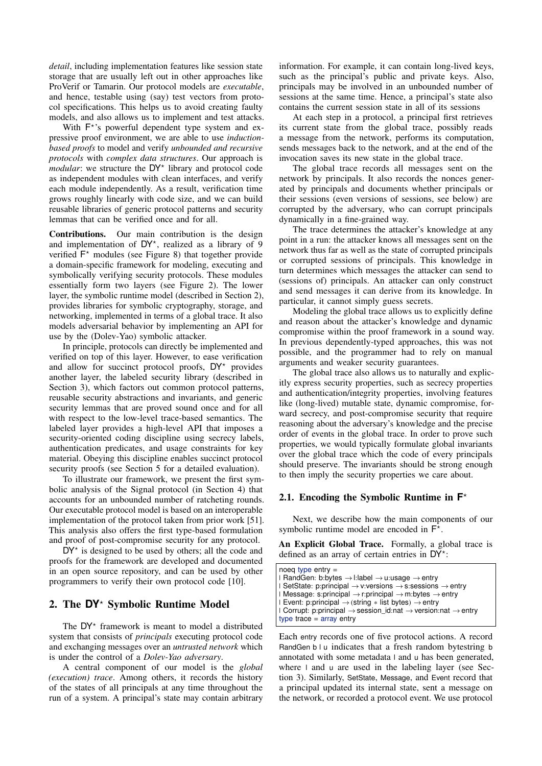*detail*, including implementation features like session state storage that are usually left out in other approaches like ProVerif or Tamarin. Our protocol models are *executable*, and hence, testable using (say) test vectors from protocol specifications. This helps us to avoid creating faulty models, and also allows us to implement and test attacks.

With  $F^*$ 's powerful dependent type system and expressive proof environment, we are able to use *inductionbased proofs* to model and verify *unbounded and recursive protocols* with *complex data structures*. Our approach is *modular*: we structure the DY<sup>\*</sup> library and protocol code as independent modules with clean interfaces, and verify each module independently. As a result, verification time grows roughly linearly with code size, and we can build reusable libraries of generic protocol patterns and security lemmas that can be verified once and for all.

Contributions. Our main contribution is the design and implementation of  $DY^*$ , realized as a library of 9 verified  $F^*$  modules (see Figure [8\)](#page-14-1) that together provide a domain-specific framework for modeling, executing and symbolically verifying security protocols. These modules essentially form two layers (see Figure [2\)](#page-3-0). The lower layer, the symbolic runtime model (described in Section [2\)](#page-4-0), provides libraries for symbolic cryptography, storage, and networking, implemented in terms of a global trace. It also models adversarial behavior by implementing an API for use by the (Dolev-Yao) symbolic attacker.

In principle, protocols can directly be implemented and verified on top of this layer. However, to ease verification and allow for succinct protocol proofs,  $DY^*$  provides another layer, the labeled security library (described in Section [3\)](#page-9-0), which factors out common protocol patterns, reusable security abstractions and invariants, and generic security lemmas that are proved sound once and for all with respect to the low-level trace-based semantics. The labeled layer provides a high-level API that imposes a security-oriented coding discipline using secrecy labels, authentication predicates, and usage constraints for key material. Obeying this discipline enables succinct protocol security proofs (see Section [5](#page-13-0) for a detailed evaluation).

To illustrate our framework, we present the first symbolic analysis of the Signal protocol (in Section [4\)](#page-12-0) that accounts for an unbounded number of ratcheting rounds. Our executable protocol model is based on an interoperable implementation of the protocol taken from prior work [\[51\]](#page-16-24). This analysis also offers the first type-based formulation and proof of post-compromise security for any protocol.

 $DY^*$  is designed to be used by others; all the code and proofs for the framework are developed and documented in an open source repository, and can be used by other programmers to verify their own protocol code [\[10\]](#page-15-18).

## <span id="page-4-0"></span>2. The **DY**? Symbolic Runtime Model

The  $DY^*$  framework is meant to model a distributed system that consists of *principals* executing protocol code and exchanging messages over an *untrusted network* which is under the control of a *Dolev-Yao adversary*.

A central component of our model is the *global (execution) trace*. Among others, it records the history of the states of all principals at any time throughout the run of a system. A principal's state may contain arbitrary information. For example, it can contain long-lived keys, such as the principal's public and private keys. Also, principals may be involved in an unbounded number of sessions at the same time. Hence, a principal's state also contains the current session state in all of its sessions

At each step in a protocol, a principal first retrieves its current state from the global trace, possibly reads a message from the network, performs its computation, sends messages back to the network, and at the end of the invocation saves its new state in the global trace.

The global trace records all messages sent on the network by principals. It also records the nonces generated by principals and documents whether principals or their sessions (even versions of sessions, see below) are corrupted by the adversary, who can corrupt principals dynamically in a fine-grained way.

The trace determines the attacker's knowledge at any point in a run: the attacker knows all messages sent on the network thus far as well as the state of corrupted principals or corrupted sessions of principals. This knowledge in turn determines which messages the attacker can send to (sessions of) principals. An attacker can only construct and send messages it can derive from its knowledge. In particular, it cannot simply guess secrets.

Modeling the global trace allows us to explicitly define and reason about the attacker's knowledge and dynamic compromise within the proof framework in a sound way. In previous dependently-typed approaches, this was not possible, and the programmer had to rely on manual arguments and weaker security guarantees.

The global trace also allows us to naturally and explicitly express security properties, such as secrecy properties and authentication/integrity properties, involving features like (long-lived) mutable state, dynamic compromise, forward secrecy, and post-compromise security that require reasoning about the adversary's knowledge and the precise order of events in the global trace. In order to prove such properties, we would typically formulate global invariants over the global trace which the code of every principals should preserve. The invariants should be strong enough to then imply the security properties we care about.

# <span id="page-4-1"></span>2.1. Encoding the Symbolic Runtime in **F** ?

Next, we describe how the main components of our symbolic runtime model are encoded in  $F^*$ .

An Explicit Global Trace. Formally, a global trace is defined as an array of certain entries in DY\*:

```
noeg type entry =| RandGen: b:bytes → l:label → u:usage → entry
| SetState: p:principal → v:versions → s:sessions → entry
| Message: s:principal \rightarrow r:principal \rightarrow m:bytes \rightarrow entry
| Event: p:principal → (string * list bytes) → entry
| Corrupt: p:principal → session_id:nat → version:nat → entry
type trace = array entry
```
Each entry records one of five protocol actions. A record RandGen b l u indicates that a fresh random bytestring b annotated with some metadata l and u has been generated, where l and u are used in the labeling layer (see Section [3\)](#page-9-0). Similarly, SetState, Message, and Event record that a principal updated its internal state, sent a message on the network, or recorded a protocol event. We use protocol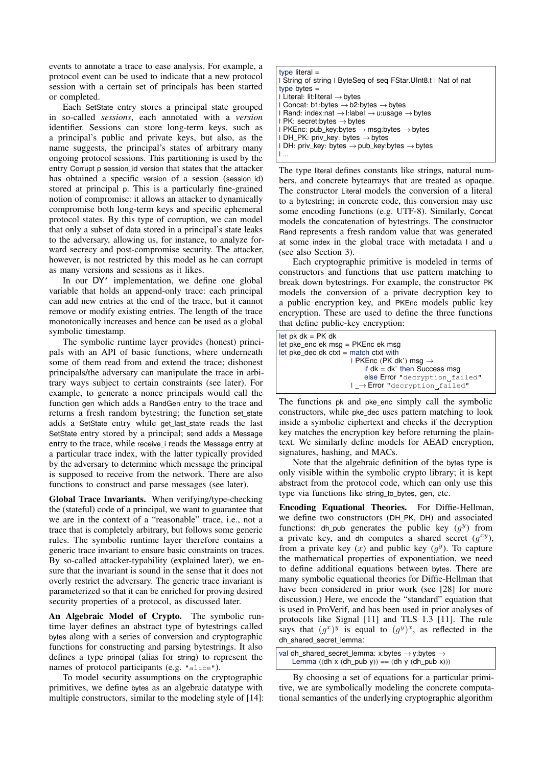events to annotate a trace to ease analysis. For example, a protocol event can be used to indicate that a new protocol session with a certain set of principals has been started or completed.

Each SetState entry stores a principal state grouped in so-called *sessions*, each annotated with a *version* identifier. Sessions can store long-term keys, such as a principal's public and private keys, but also, as the name suggests, the principal's states of arbitrary many ongoing protocol sessions. This partitioning is used by the entry Corrupt p session id version that states that the attacker has obtained a specific version of a session (session\_id) stored at principal p. This is a particularly fine-grained notion of compromise: it allows an attacker to dynamically compromise both long-term keys and specific ephemeral protocol states. By this type of corruption, we can model that only a subset of data stored in a principal's state leaks to the adversary, allowing us, for instance, to analyze forward secrecy and post-compromise security. The attacker, however, is not restricted by this model as he can corrupt as many versions and sessions as it likes.

In our  $DY^*$  implementation, we define one global variable that holds an append-only trace: each principal can add new entries at the end of the trace, but it cannot remove or modify existing entries. The length of the trace monotonically increases and hence can be used as a global symbolic timestamp.

The symbolic runtime layer provides (honest) principals with an API of basic functions, where underneath some of them read from and extend the trace; dishonest principals/the adversary can manipulate the trace in arbitrary ways subject to certain constraints (see later). For example, to generate a nonce principals would call the function gen which adds a RandGen entry to the trace and returns a fresh random bytestring; the function set\_state adds a SetState entry while get\_last\_state reads the last SetState entry stored by a principal; send adds a Message entry to the trace, while receive i reads the Message entry at a particular trace index, with the latter typically provided by the adversary to determine which message the principal is supposed to receive from the network. There are also functions to construct and parse messages (see later).

Global Trace Invariants. When verifying/type-checking the (stateful) code of a principal, we want to guarantee that we are in the context of a "reasonable" trace, i.e., not a trace that is completely arbitrary, but follows some generic rules. The symbolic runtime layer therefore contains a generic trace invariant to ensure basic constraints on traces. By so-called attacker-typability (explained later), we ensure that the invariant is sound in the sense that it does not overly restrict the adversary. The generic trace invariant is parameterized so that it can be enriched for proving desired security properties of a protocol, as discussed later.

An Algebraic Model of Crypto. The symbolic runtime layer defines an abstract type of bytestrings called bytes along with a series of conversion and cryptographic functions for constructing and parsing bytestrings. It also defines a type principal (alias for string) to represent the names of protocol participants (e.g. "alice").

To model security assumptions on the cryptographic primitives, we define bytes as an algebraic datatype with multiple constructors, similar to the modeling style of [\[14\]](#page-15-15):

| type literal $=$                                                                       |
|----------------------------------------------------------------------------------------|
| I String of string I ByteSeq of seq FStar. UInt8.t I Nat of nat                        |
| type bytes $=$                                                                         |
| $\vdash$ Literal: lit: literal $\rightarrow$ bytes                                     |
| I Concat: b1:bytes $\rightarrow$ b2:bytes $\rightarrow$ bytes                          |
| $\Box$ Rand: index:nat $\rightarrow$ l:label $\rightarrow$ u:usage $\rightarrow$ bytes |
| $\vdash$ PK: secret:bytes $\rightarrow$ bytes                                          |
| I PKEnc: pub_key:bytes $\rightarrow$ msg:bytes $\rightarrow$ bytes                     |
| $IDH_PK: priv\_key: bytes \rightarrow bytes$                                           |
| $\Box$ DH: priv_key: bytes $\rightarrow$ pub_key:bytes $\rightarrow$ bytes             |
|                                                                                        |

The type literal defines constants like strings, natural numbers, and concrete bytearrays that are treated as opaque. The constructor Literal models the conversion of a literal to a bytestring; in concrete code, this conversion may use some encoding functions (e.g. UTF-8). Similarly, Concat models the concatenation of bytestrings. The constructor Rand represents a fresh random value that was generated at some index in the global trace with metadata l and u (see also Section [3\)](#page-9-0).

Each cryptographic primitive is modeled in terms of constructors and functions that use pattern matching to break down bytestrings. For example, the constructor PK models the conversion of a private decryption key to a public encryption key, and PKEnc models public key encryption. These are used to define the three functions that define public-key encryption:

| let pk $dk = PK$ dk                         |
|---------------------------------------------|
| let pke_enc ek msg = $PKEnc$ ek msg         |
| $let$ pke_dec dk ctxt = match ctxt with     |
| $\mathsf{PKEnc}$ (PK dk') msq $\rightarrow$ |
| if $dk = dk'$ then Success msq              |
| else Error "decryption failed"              |
| $I \rightarrow$ Error "decryption failed"   |

The functions pk and pke\_enc simply call the symbolic constructors, while pke\_dec uses pattern matching to look inside a symbolic ciphertext and checks if the decryption key matches the encryption key before returning the plaintext. We similarly define models for AEAD encryption, signatures, hashing, and MACs.

Note that the algebraic definition of the bytes type is only visible within the symbolic crypto library; it is kept abstract from the protocol code, which can only use this type via functions like string\_to\_bytes, gen, etc.

Encoding Equational Theories. For Diffie-Hellman, we define two constructors (DH\_PK, DH) and associated functions: dh\_pub generates the public key  $(g<sup>y</sup>)$  from a private key, and dh computes a shared secret  $(g^{xy})$ , from a private key  $(x)$  and public key  $(g<sup>y</sup>)$ . To capture the mathematical properties of exponentiation, we need to define additional equations between bytes. There are many symbolic equational theories for Diffie-Hellman that have been considered in prior work (see [\[28\]](#page-16-25) for more discussion.) Here, we encode the "standard" equation that is used in ProVerif, and has been used in prior analyses of protocols like Signal [\[11\]](#page-15-2) and TLS 1.3 [\[11\]](#page-15-2). The rule says that  $(g^x)^y$  is equal to  $(g^y)^x$ , as reflected in the dh\_shared\_secret\_lemma:

| val dh_shared_secret_lemma: x:bytes $\rightarrow$ y:bytes $\rightarrow$ |  |
|-------------------------------------------------------------------------|--|
| Lemma $((dh x (dh_pub y)) == (dh y (dh_pub x)))$                        |  |

By choosing a set of equations for a particular primitive, we are symbolically modeling the concrete computational semantics of the underlying cryptographic algorithm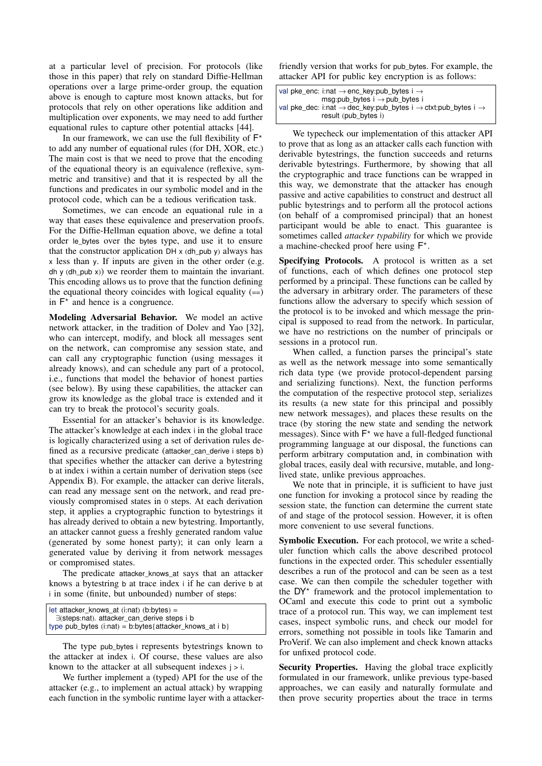at a particular level of precision. For protocols (like those in this paper) that rely on standard Diffie-Hellman operations over a large prime-order group, the equation above is enough to capture most known attacks, but for protocols that rely on other operations like addition and multiplication over exponents, we may need to add further equational rules to capture other potential attacks [\[44\]](#page-16-26).

In our framework, we can use the full flexibility of  $F^*$ to add any number of equational rules (for DH, XOR, etc.) The main cost is that we need to prove that the encoding of the equational theory is an equivalence (reflexive, symmetric and transitive) and that it is respected by all the functions and predicates in our symbolic model and in the protocol code, which can be a tedious verification task.

Sometimes, we can encode an equational rule in a way that eases these equivalence and preservation proofs. For the Diffie-Hellman equation above, we define a total order le\_bytes over the bytes type, and use it to ensure that the constructor application  $DH \times (dh_pub \gamma)$  always has x less than y. If inputs are given in the other order (e.g. dh y (dh\_pub x)) we reorder them to maintain the invariant. This encoding allows us to prove that the function defining the equational theory coincides with logical equality  $(==)$ in  $F^*$  and hence is a congruence.

Modeling Adversarial Behavior. We model an active network attacker, in the tradition of Dolev and Yao [\[32\]](#page-16-4), who can intercept, modify, and block all messages sent on the network, can compromise any session state, and can call any cryptographic function (using messages it already knows), and can schedule any part of a protocol, i.e., functions that model the behavior of honest parties (see below). By using these capabilities, the attacker can grow its knowledge as the global trace is extended and it can try to break the protocol's security goals.

Essential for an attacker's behavior is its knowledge. The attacker's knowledge at each index i in the global trace is logically characterized using a set of derivation rules defined as a recursive predicate (attacker\_can\_derive i steps b) that specifies whether the attacker can derive a bytestring b at index i within a certain number of derivation steps (see Appendix [B\)](#page-16-27). For example, the attacker can derive literals, can read any message sent on the network, and read previously compromised states in 0 steps. At each derivation step, it applies a cryptographic function to bytestrings it has already derived to obtain a new bytestring. Importantly, an attacker cannot guess a freshly generated random value (generated by some honest party); it can only learn a generated value by deriving it from network messages or compromised states.

The predicate attacker knows at says that an attacker knows a bytestring b at trace index i if he can derive b at i in some (finite, but unbounded) number of steps:

| let attacker_knows_at $(i:nat)$ $(b:bytes) =$               |
|-------------------------------------------------------------|
| $\exists$ (steps:nat). attacker_can_derive steps i b        |
| type pub_bytes $(i:nat) = b:bytes\{attacker_knows_at i b\}$ |

The type pub\_bytes i represents bytestrings known to the attacker at index i. Of course, these values are also known to the attacker at all subsequent indexes  $j > i$ .

We further implement a (typed) API for the use of the attacker (e.g., to implement an actual attack) by wrapping each function in the symbolic runtime layer with a attackerfriendly version that works for pub\_bytes. For example, the attacker API for public key encryption is as follows:

| val pke_enc: i:nat $\rightarrow$ enc_key:pub_bytes i $\rightarrow$                                |
|---------------------------------------------------------------------------------------------------|
| $msg:pub_bytes$ i $\rightarrow pub_bytes$ i                                                       |
| val pke_dec: i:nat $\rightarrow$ dec_key:pub_bytes i $\rightarrow$ ctxt:pub_bytes i $\rightarrow$ |
| result (pub_bytes i)                                                                              |

We typecheck our implementation of this attacker API to prove that as long as an attacker calls each function with derivable bytestrings, the function succeeds and returns derivable bytestrings. Furthermore, by showing that all the cryptographic and trace functions can be wrapped in this way, we demonstrate that the attacker has enough passive and active capabilities to construct and destruct all public bytestrings and to perform all the protocol actions (on behalf of a compromised principal) that an honest participant would be able to enact. This guarantee is sometimes called *attacker typability* for which we provide a machine-checked proof here using  $F^*$ .

Specifying Protocols. A protocol is written as a set of functions, each of which defines one protocol step performed by a principal. These functions can be called by the adversary in arbitrary order. The parameters of these functions allow the adversary to specify which session of the protocol is to be invoked and which message the principal is supposed to read from the network. In particular, we have no restrictions on the number of principals or sessions in a protocol run.

When called, a function parses the principal's state as well as the network message into some semantically rich data type (we provide protocol-dependent parsing and serializing functions). Next, the function performs the computation of the respective protocol step, serializes its results (a new state for this principal and possibly new network messages), and places these results on the trace (by storing the new state and sending the network messages). Since with  $F^*$  we have a full-fledged functional programming language at our disposal, the functions can perform arbitrary computation and, in combination with global traces, easily deal with recursive, mutable, and longlived state, unlike previous approaches.

We note that in principle, it is sufficient to have just one function for invoking a protocol since by reading the session state, the function can determine the current state of and stage of the protocol session. However, it is often more convenient to use several functions.

Symbolic Execution. For each protocol, we write a scheduler function which calls the above described protocol functions in the expected order. This scheduler essentially describes a run of the protocol and can be seen as a test case. We can then compile the scheduler together with the DY<sup>\*</sup> framework and the protocol implementation to OCaml and execute this code to print out a symbolic trace of a protocol run. This way, we can implement test cases, inspect symbolic runs, and check our model for errors, something not possible in tools like Tamarin and ProVerif. We can also implement and check known attacks for unfixed protocol code.

Security Properties. Having the global trace explicitly formulated in our framework, unlike previous type-based approaches, we can easily and naturally formulate and then prove security properties about the trace in terms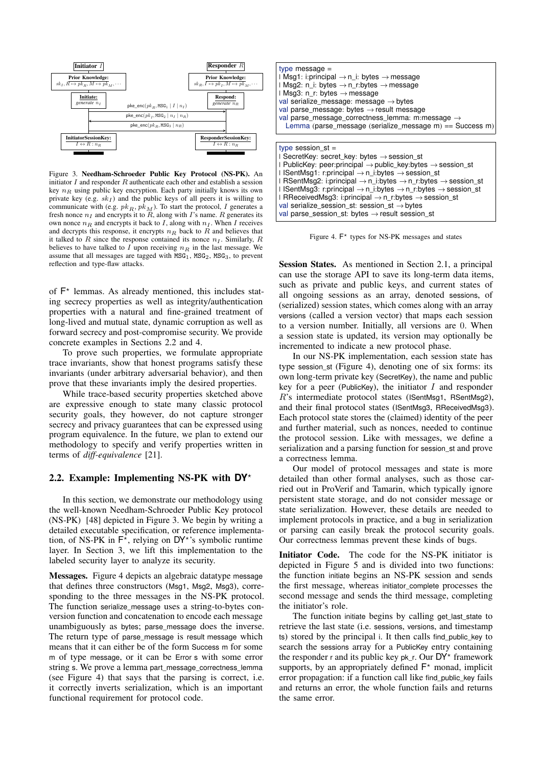

<span id="page-7-1"></span>Figure 3. Needham-Schroeder Public Key Protocol (NS-PK). An initiator  $I$  and responder  $R$  authenticate each other and establish a session key  $n_R$  using public key encryption. Each party initially knows its own private key (e.g.  $sk_I$ ) and the public keys of all peers it is willing to communicate with (e.g.  $pk_R$ ,  $pk_M$ ). To start the protocol, I generates a fresh nonce  $n_I$  and encrypts it to  $R$ , along with  $I$ 's name.  $R$  generates its own nonce  $n_R$  and encrypts it back to I, along with  $n_I$ . When I receives and decrypts this response, it encrypts  $n_R$  back to R and believes that it talked to R since the response contained its nonce  $n_I$ . Similarly, R believes to have talked to  $\overline{I}$  upon receiving  $n_{\overline{B}}$  in the last message. We assume that all messages are tagged with  $MSG_1$ ,  $MSG_2$ ,  $MSG_3$ , to prevent reflection and type-flaw attacks.

of  $F^*$  lemmas. As already mentioned, this includes stating secrecy properties as well as integrity/authentication properties with a natural and fine-grained treatment of long-lived and mutual state, dynamic corruption as well as forward secrecy and post-compromise security. We provide concrete examples in Sections [2.2](#page-7-0) and [4.](#page-12-0)

To prove such properties, we formulate appropriate trace invariants, show that honest programs satisfy these invariants (under arbitrary adversarial behavior), and then prove that these invariants imply the desired properties.

While trace-based security properties sketched above are expressive enough to state many classic protocol security goals, they however, do not capture stronger secrecy and privacy guarantees that can be expressed using program equivalence. In the future, we plan to extend our methodology to specify and verify properties written in terms of *diff-equivalence* [\[21\]](#page-15-5).

#### <span id="page-7-0"></span>2.2. Example: Implementing NS-PK with **DY**?

In this section, we demonstrate our methodology using the well-known Needham-Schroeder Public Key protocol (NS-PK) [\[48\]](#page-16-0) depicted in Figure [3.](#page-7-1) We begin by writing a detailed executable specification, or reference implementation, of NS-PK in  $F^*$ , relying on DY\*'s symbolic runtime layer. In Section [3,](#page-9-0) we lift this implementation to the labeled security layer to analyze its security.

Messages. Figure [4](#page-7-2) depicts an algebraic datatype message that defines three constructors (Msg1, Msg2, Msg3), corresponding to the three messages in the NS-PK protocol. The function serialize\_message uses a string-to-bytes conversion function and concatenation to encode each message unambiguously as bytes; parse\_message does the inverse. The return type of parse\_message is result message which means that it can either be of the form Success m for some m of type message, or it can be Error s with some error string s. We prove a lemma part\_message\_correctness\_lemma (see Figure [4\)](#page-7-2) that says that the parsing is correct, i.e. it correctly inverts serialization, which is an important functional requirement for protocol code.

| type message $=$<br>I Msg1: i:principal → n_i: bytes → message<br>I Msg2: n_i: bytes $\rightarrow$ n_r:bytes $\rightarrow$ message<br>$\blacksquare$ Msg3: n_r: bytes $\rightarrow$ message<br>val serialize message: message $\rightarrow$ bytes<br>val parse_message: bytes $\rightarrow$ result message<br>val parse_message_correctness_lemma: m:message $\rightarrow$                                                                                                                                                                                                                                                                  |
|---------------------------------------------------------------------------------------------------------------------------------------------------------------------------------------------------------------------------------------------------------------------------------------------------------------------------------------------------------------------------------------------------------------------------------------------------------------------------------------------------------------------------------------------------------------------------------------------------------------------------------------------|
| Lemma (parse_message (serialize_message m) == Success m)                                                                                                                                                                                                                                                                                                                                                                                                                                                                                                                                                                                    |
| type session $st =$<br>$\vdash$ SecretKey: secret_key: bytes $\rightarrow$ session_st<br>I PublicKey: peer:principal $\rightarrow$ public_key:bytes $\rightarrow$ session_st<br>I ISentMsg1: r:principal $\rightarrow$ n_i:bytes $\rightarrow$ session_st<br>I RSentMsg2: i:principal $\rightarrow$ n_i:bytes $\rightarrow$ n_r:bytes $\rightarrow$ session_st<br>I ISentMsg3: r:principal → n_i:bytes → n_r:bytes → session_st<br>I RReceivedMsg3: i:principal $\rightarrow$ n_r:bytes $\rightarrow$ session_st<br>val serialize_session_st: session_st $\rightarrow$ bytes<br>val parse_session_st: bytes $\rightarrow$ result session_st |

<span id="page-7-2"></span>Figure 4.  $F^*$  types for NS-PK messages and states

Session States. As mentioned in Section [2.1,](#page-4-1) a principal can use the storage API to save its long-term data items, such as private and public keys, and current states of all ongoing sessions as an array, denoted sessions, of (serialized) session states, which comes along with an array versions (called a version vector) that maps each session to a version number. Initially, all versions are 0. When a session state is updated, its version may optionally be incremented to indicate a new protocol phase.

In our NS-PK implementation, each session state has type session\_st (Figure [4\)](#page-7-2), denoting one of six forms: its own long-term private key (SecretKey), the name and public key for a peer (PublicKey), the initiator  $I$  and responder R's intermediate protocol states (ISentMsg1, RSentMsg2), and their final protocol states (ISentMsg3, RReceivedMsg3). Each protocol state stores the (claimed) identity of the peer and further material, such as nonces, needed to continue the protocol session. Like with messages, we define a serialization and a parsing function for session\_st and prove a correctness lemma.

Our model of protocol messages and state is more detailed than other formal analyses, such as those carried out in ProVerif and Tamarin, which typically ignore persistent state storage, and do not consider message or state serialization. However, these details are needed to implement protocols in practice, and a bug in serialization or parsing can easily break the protocol security goals. Our correctness lemmas prevent these kinds of bugs.

Initiator Code. The code for the NS-PK initiator is depicted in Figure [5](#page-8-0) and is divided into two functions: the function initiate begins an NS-PK session and sends the first message, whereas initiator\_complete processes the second message and sends the third message, completing the initiator's role.

The function initiate begins by calling get\_last\_state to retrieve the last state (i.e. sessions, versions, and timestamp ts) stored by the principal i. It then calls find\_public\_key to search the sessions array for a PublicKey entry containing the responder r and its public key pk\_r. Our  $DY^*$  framework supports, by an appropriately defined  $F^*$  monad, implicit error propagation: if a function call like find\_public\_key fails and returns an error, the whole function fails and returns the same error.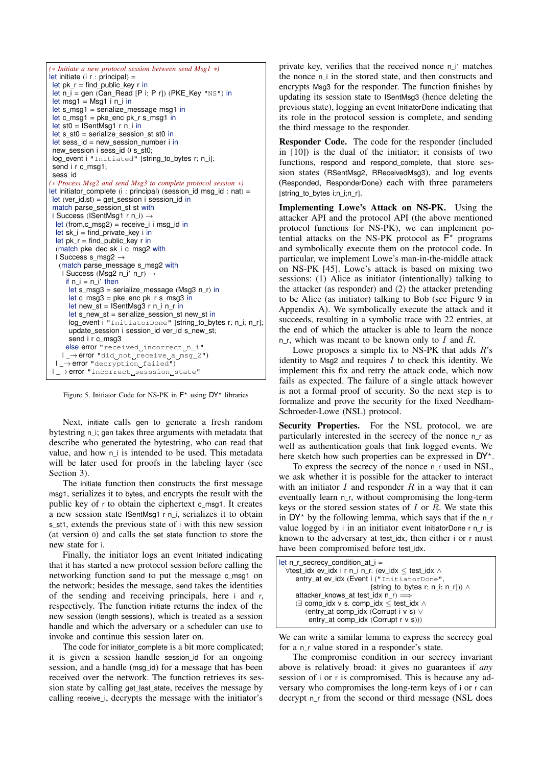

<span id="page-8-0"></span>Figure 5. Initiator Code for NS-PK in  $F^*$  using  $DY^*$  libraries

Next, initiate calls gen to generate a fresh random bytestring n\_i; gen takes three arguments with metadata that describe who generated the bytestring, who can read that value, and how n\_i is intended to be used. This metadata will be later used for proofs in the labeling layer (see Section [3\)](#page-9-0).

The initiate function then constructs the first message msg1, serializes it to bytes, and encrypts the result with the public key of r to obtain the ciphertext c\_msg1. It creates a new session state ISentMsg1 r n\_i, serializes it to obtain s\_st1, extends the previous state of i with this new session (at version 0) and calls the set\_state function to store the new state for i.

Finally, the initiator logs an event Initiated indicating that it has started a new protocol session before calling the networking function send to put the message c\_msg1 on the network; besides the message, send takes the identities of the sending and receiving principals, here i and r, respectively. The function initiate returns the index of the new session (length sessions), which is treated as a session handle and which the adversary or a scheduler can use to invoke and continue this session later on.

The code for initiator\_complete is a bit more complicated; it is given a session handle session\_id for an ongoing session, and a handle (msg\_id) for a message that has been received over the network. The function retrieves its session state by calling get\_last\_state, receives the message by calling receive\_i, decrypts the message with the initiator's

private key, verifies that the received nonce n\_i' matches the nonce n i in the stored state, and then constructs and encrypts Msg3 for the responder. The function finishes by updating its session state to ISentMsg3 (hence deleting the previous state), logging an event InitiatorDone indicating that its role in the protocol session is complete, and sending the third message to the responder.

Responder Code. The code for the responder (included in [\[10\]](#page-15-18)) is the dual of the initiator; it consists of two functions, respond and respond\_complete, that store session states (RSentMsg2, RReceivedMsg3), and log events (Responded, ResponderDone) each with three parameters [string\_to\_bytes i;n\_i;n\_r].

Implementing Lowe's Attack on NS-PK. Using the attacker API and the protocol API (the above mentioned protocol functions for NS-PK), we can implement potential attacks on the NS-PK protocol as  $F^*$  programs and symbolically execute them on the protocol code. In particular, we implement Lowe's man-in-the-middle attack on NS-PK [\[45\]](#page-16-5). Lowe's attack is based on mixing two sessions: (1) Alice as initiator (intentionally) talking to the attacker (as responder) and (2) the attacker pretending to be Alice (as initiator) talking to Bob (see Figure [9](#page-16-28) in Appendix [A\)](#page-16-29). We symbolically execute the attack and it succeeds, resulting in a symbolic trace with 22 entries, at the end of which the attacker is able to learn the nonce n\_r, which was meant to be known only to  $I$  and  $R$ .

Lowe proposes a simple fix to NS-PK that adds  $R$ 's identity to Msg2 and requires  $I$  to check this identity. We implement this fix and retry the attack code, which now fails as expected. The failure of a single attack however is not a formal proof of security. So the next step is to formalize and prove the security for the fixed Needham-Schroeder-Lowe (NSL) protocol.

Security Properties. For the NSL protocol, we are particularly interested in the secrecy of the nonce n\_r as well as authentication goals that link logged events. We here sketch how such properties can be expressed in DY\*.

To express the secrecy of the nonce n\_r used in NSL, we ask whether it is possible for the attacker to interact with an initiator  $I$  and responder  $R$  in a way that it can eventually learn n\_r, without compromising the long-term keys or the stored session states of  $I$  or  $R$ . We state this in  $DY^*$  by the following lemma, which says that if the n\_r value logged by *i* in an initiator event InitiatorDone r n\_r is known to the adversary at test\_idx, then either i or r must have been compromised before test\_idx.

| let $n_r$ secrecy condition at $i =$                 |
|------------------------------------------------------|
|                                                      |
| ∀test_idx ev_idx i r n_i n_r. (ev_idx < test_idx ∧   |
| entry_at ev_idx (Event i ("InitiatorDone",           |
| [string_to_bytes r; n_i; n_r])) $\wedge$             |
| attacker_knows_at test_idx $n_r$ ) $\Longrightarrow$ |
| (∃ comp_idx v s. comp_idx ≤ test_idx ∧               |
| (entry_at comp_idx (Corrupt i v s) $\vee$            |
| entry_at comp_idx $(Corrupt r v s))$                 |
|                                                      |

We can write a similar lemma to express the secrecy goal for a n\_r value stored in a responder's state.

The compromise condition in our secrecy invariant above is relatively broad: it gives no guarantees if *any* session of i or r is compromised. This is because any adversary who compromises the long-term keys of i or r can decrypt n\_r from the second or third message (NSL does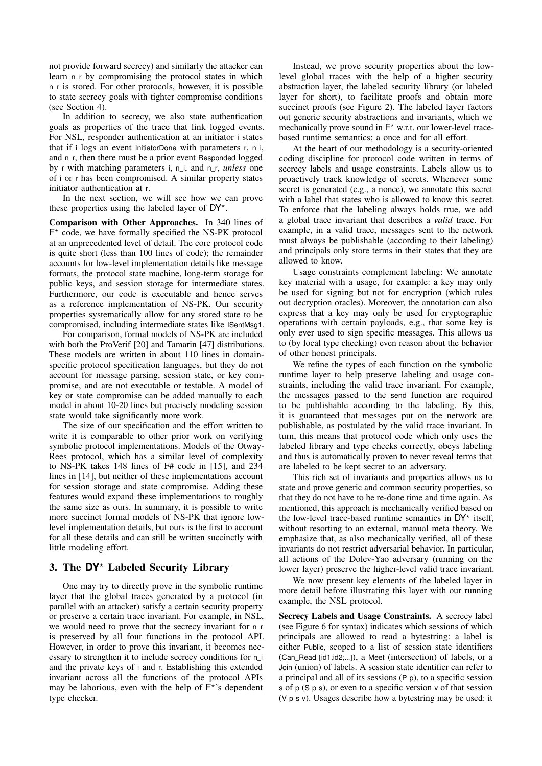not provide forward secrecy) and similarly the attacker can learn n<sub>r</sub> by compromising the protocol states in which n r is stored. For other protocols, however, it is possible to state secrecy goals with tighter compromise conditions (see Section [4\)](#page-12-0).

In addition to secrecy, we also state authentication goals as properties of the trace that link logged events. For NSL, responder authentication at an initiator i states that if i logs an event InitiatorDone with parameters r, n\_i, and n\_r, then there must be a prior event Responded logged by r with matching parameters i, n\_i, and n\_r, *unless* one of i or r has been compromised. A similar property states initiator authentication at r.

In the next section, we will see how we can prove these properties using the labeled layer of  $DY^*$ .

Comparison with Other Approaches. In 340 lines of  $F^*$  code, we have formally specified the NS-PK protocol at an unprecedented level of detail. The core protocol code is quite short (less than 100 lines of code); the remainder accounts for low-level implementation details like message formats, the protocol state machine, long-term storage for public keys, and session storage for intermediate states. Furthermore, our code is executable and hence serves as a reference implementation of NS-PK. Our security properties systematically allow for any stored state to be compromised, including intermediate states like ISentMsg1.

For comparison, formal models of NS-PK are included with both the ProVerif [\[20\]](#page-15-3) and Tamarin [\[47\]](#page-16-6) distributions. These models are written in about 110 lines in domainspecific protocol specification languages, but they do not account for message parsing, session state, or key compromise, and are not executable or testable. A model of key or state compromise can be added manually to each model in about 10-20 lines but precisely modeling session state would take significantly more work.

The size of our specification and the effort written to write it is comparable to other prior work on verifying symbolic protocol implementations. Models of the Otway-Rees protocol, which has a similar level of complexity to NS-PK takes 148 lines of F# code in [\[15\]](#page-15-12), and 234 lines in [\[14\]](#page-15-15), but neither of these implementations account for session storage and state compromise. Adding these features would expand these implementations to roughly the same size as ours. In summary, it is possible to write more succinct formal models of NS-PK that ignore lowlevel implementation details, but ours is the first to account for all these details and can still be written succinctly with little modeling effort.

#### <span id="page-9-0"></span>3. The **DY**? Labeled Security Library

One may try to directly prove in the symbolic runtime layer that the global traces generated by a protocol (in parallel with an attacker) satisfy a certain security property or preserve a certain trace invariant. For example, in NSL, we would need to prove that the secrecy invariant for n\_r is preserved by all four functions in the protocol API. However, in order to prove this invariant, it becomes necessary to strengthen it to include secrecy conditions for n\_i and the private keys of i and r. Establishing this extended invariant across all the functions of the protocol APIs may be laborious, even with the help of  $\overline{F}^*$ 's dependent type checker.

Instead, we prove security properties about the lowlevel global traces with the help of a higher security abstraction layer, the labeled security library (or labeled layer for short), to facilitate proofs and obtain more succinct proofs (see Figure [2\)](#page-3-0). The labeled layer factors out generic security abstractions and invariants, which we mechanically prove sound in  $F^*$  w.r.t. our lower-level tracebased runtime semantics; a once and for all effort.

At the heart of our methodology is a security-oriented coding discipline for protocol code written in terms of secrecy labels and usage constraints. Labels allow us to proactively track knowledge of secrets. Whenever some secret is generated (e.g., a nonce), we annotate this secret with a label that states who is allowed to know this secret. To enforce that the labeling always holds true, we add a global trace invariant that describes a *valid* trace. For example, in a valid trace, messages sent to the network must always be publishable (according to their labeling) and principals only store terms in their states that they are allowed to know.

Usage constraints complement labeling: We annotate key material with a usage, for example: a key may only be used for signing but not for encryption (which rules out decryption oracles). Moreover, the annotation can also express that a key may only be used for cryptographic operations with certain payloads, e.g., that some key is only ever used to sign specific messages. This allows us to (by local type checking) even reason about the behavior of other honest principals.

We refine the types of each function on the symbolic runtime layer to help preserve labeling and usage constraints, including the valid trace invariant. For example, the messages passed to the send function are required to be publishable according to the labeling. By this, it is guaranteed that messages put on the network are publishable, as postulated by the valid trace invariant. In turn, this means that protocol code which only uses the labeled library and type checks correctly, obeys labeling and thus is automatically proven to never reveal terms that are labeled to be kept secret to an adversary.

This rich set of invariants and properties allows us to state and prove generic and common security properties, so that they do not have to be re-done time and time again. As mentioned, this approach is mechanically verified based on the low-level trace-based runtime semantics in  $DY^*$  itself, without resorting to an external, manual meta theory. We emphasize that, as also mechanically verified, all of these invariants do not restrict adversarial behavior. In particular, all actions of the Dolev-Yao adversary (running on the lower layer) preserve the higher-level valid trace invariant.

We now present key elements of the labeled layer in more detail before illustrating this layer with our running example, the NSL protocol.

Secrecy Labels and Usage Constraints. A secrecy label (see Figure [6](#page-10-0) for syntax) indicates which sessions of which principals are allowed to read a bytestring: a label is either Public, scoped to a list of session state identifiers (Can\_Read [id1;id2;...]), a Meet (intersection) of labels, or a Join (union) of labels. A session state identifier can refer to a principal and all of its sessions (P p), to a specific session s of p (S p s), or even to a specific version v of that session (V p s v). Usages describe how a bytestring may be used: it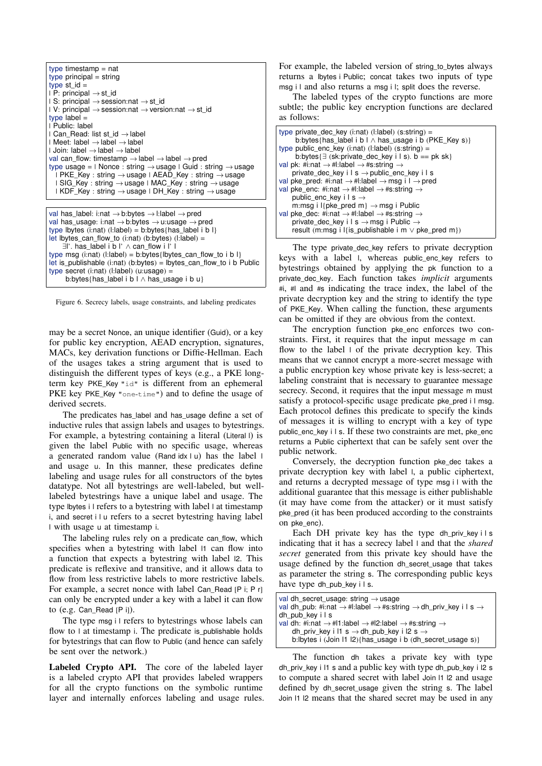

```
val has_label: i:nat → b:bytes → l:label → pred
val has_usage: i:nat → b:bytes → u:usage → pred
type lbytes (i:nat) (l:label) = b:bytes{has} label i b l
let lbytes can flow to (i:nat) (b:bytes) (l:label) =
    ∃l'. has_label i b l' ∧ can_flow i l' l
type msg (i:nat) (l:label) = b:bytes{lbytes_can_flow_to i b l}
let is_publishable (i:nat) (b:bytes) = lbytes_can_flow_to i b Public
type secret (i:nat) (l:label) (u:usage) =
     b:bytes{has_label i b l ∧ has_usage i b u}
```
<span id="page-10-0"></span>Figure 6. Secrecy labels, usage constraints, and labeling predicates

may be a secret Nonce, an unique identifier (Guid), or a key for public key encryption, AEAD encryption, signatures, MACs, key derivation functions or Diffie-Hellman. Each of the usages takes a string argument that is used to distinguish the different types of keys (e.g., a PKE longterm key PKE\_Key "id" is different from an ephemeral PKE key PKE\_Key "one-time") and to define the usage of derived secrets.

The predicates has\_label and has\_usage define a set of inductive rules that assign labels and usages to bytestrings. For example, a bytestring containing a literal (Literal I) is given the label Public with no specific usage, whereas a generated random value (Rand idx  $|u|$ ) has the label  $|$ and usage u. In this manner, these predicates define labeling and usage rules for all constructors of the bytes datatype. Not all bytestrings are well-labeled, but welllabeled bytestrings have a unique label and usage. The type lbytes i l refers to a bytestring with label l at timestamp i, and secret i l u refers to a secret bytestring having label l with usage u at timestamp i.

The labeling rules rely on a predicate can\_flow, which specifies when a bytestring with label  $\vert$  1 can flow into a function that expects a bytestring with label l2. This predicate is reflexive and transitive, and it allows data to flow from less restrictive labels to more restrictive labels. For example, a secret nonce with label Can\_Read [P i; P r] can only be encrypted under a key with a label it can flow to (e.g. Can\_Read [P i]).

The type msg i l refers to bytestrings whose labels can flow to  $\vert$  at timestamp i. The predicate is\_publishable holds for bytestrings that can flow to Public (and hence can safely be sent over the network.)

Labeled Crypto API. The core of the labeled layer is a labeled crypto API that provides labeled wrappers for all the crypto functions on the symbolic runtime layer and internally enforces labeling and usage rules. For example, the labeled version of string to bytes always returns a lbytes i Public; concat takes two inputs of type msg i l and also returns a msg i l; split does the reverse.

The labeled types of the crypto functions are more subtle; the public key encryption functions are declared as follows:

| type private_dec_key $(i:nat)$ $(l:label)$ $(s:string)$ =                            |
|--------------------------------------------------------------------------------------|
| b:bytes{has label i b $\vert \wedge \vert$ has usage i b (PKE Key s)}                |
| type public_enc_key $(i:nat)$ $(l:label)$ $(s:string) =$                             |
| b:bytes{ $\exists$ (sk:private_dec_key i l s). b == pk sk}                           |
| val pk: #i:nat $\rightarrow$ #l:label $\rightarrow$ #s:string $\rightarrow$          |
| private_dec_key i $I$ s $\rightarrow$ public_enc_key i I s                           |
| val pke_pred: #i:nat $\rightarrow$ #l:label $\rightarrow$ msg i l $\rightarrow$ pred |
| val pke_enc: #i:nat $\rightarrow$ #l:label $\rightarrow$ #s:string $\rightarrow$     |
| public_enc_key i $\mathsf{I}$ s $\rightarrow$                                        |
| m:msg i l{pke_pred m} $\rightarrow$ msg i Public                                     |
| val pke_dec: #i:nat $\rightarrow$ #l:label $\rightarrow$ #s:string $\rightarrow$     |
| private_dec_key i I s $\rightarrow$ msg i Public $\rightarrow$                       |
| result (m:msq i l{is publishable i m $\vee$ pke pred m})                             |
|                                                                                      |

The type private dec key refers to private decryption keys with a label I, whereas public enc key refers to bytestrings obtained by applying the pk function to a private dec key. Each function takes *implicit* arguments #i, #l and #s indicating the trace index, the label of the private decryption key and the string to identify the type of PKE\_Key. When calling the function, these arguments can be omitted if they are obvious from the context.

The encryption function pke\_enc enforces two constraints. First, it requires that the input message m can flow to the label l of the private decryption key. This means that we cannot encrypt a more-secret message with a public encryption key whose private key is less-secret; a labeling constraint that is necessary to guarantee message secrecy. Second, it requires that the input message m must satisfy a protocol-specific usage predicate pke\_pred i l msg. Each protocol defines this predicate to specify the kinds of messages it is willing to encrypt with a key of type public\_enc\_key i l s. If these two constraints are met, pke\_enc returns a Public ciphertext that can be safely sent over the public network.

Conversely, the decryption function pke\_dec takes a private decryption key with label l, a public ciphertext, and returns a decrypted message of type msg i l with the additional guarantee that this message is either publishable (it may have come from the attacker) or it must satisfy pke\_pred (it has been produced according to the constraints on pke\_enc).

Each DH private key has the type dh priv key i  $\vert s \vert$ indicating that it has a secrecy label l and that the *shared secret* generated from this private key should have the usage defined by the function dh\_secret\_usage that takes as parameter the string s. The corresponding public keys have type dh\_pub\_key i l s.

| val dh secret usage: string $\rightarrow$ usage                                                                 |
|-----------------------------------------------------------------------------------------------------------------|
| val dh_pub: #i:nat $\rightarrow$ #l:label $\rightarrow$ #s:string $\rightarrow$ dh_priv_key i l s $\rightarrow$ |
| dh pub key ils                                                                                                  |
| val dh: #i:nat $\rightarrow$ #l1:label $\rightarrow$ #l2:label $\rightarrow$ #s:string $\rightarrow$            |
| dh_priv_key i l1 s $\rightarrow$ dh_pub_key i l2 s $\rightarrow$                                                |
| b: b: bytes i (Join $11 \ 12$ ) {has_usage i b (dh_secret_usage s) }                                            |
|                                                                                                                 |

The function dh takes a private key with type dh\_priv\_key i l1 s and a public key with type dh\_pub\_key i l2 s to compute a shared secret with label Join l1 l2 and usage defined by dh\_secret\_usage given the string s. The label Join l1 l2 means that the shared secret may be used in any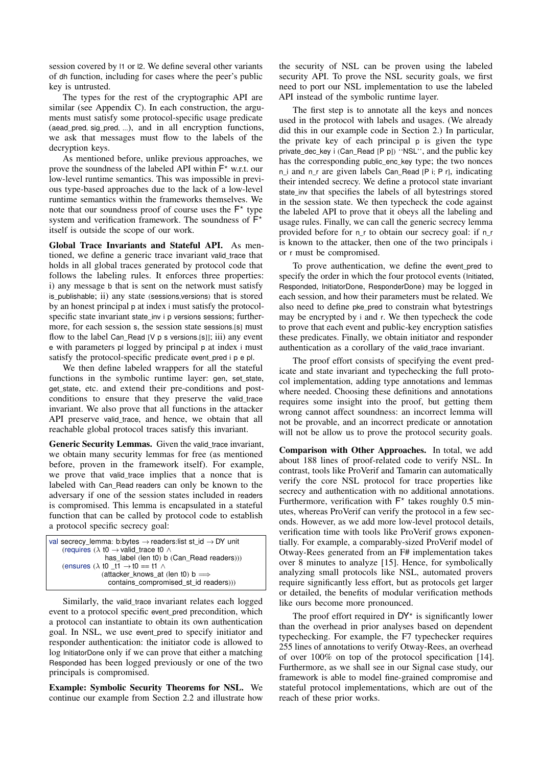session covered by l1 or l2. We define several other variants of dh function, including for cases where the peer's public key is untrusted.

The types for the rest of the cryptographic API are similar (see Appendix [C\)](#page-17-0). In each construction, the arguments must satisfy some protocol-specific usage predicate (aead\_pred, sig\_pred, ...), and in all encryption functions, we ask that messages must flow to the labels of the decryption keys.

As mentioned before, unlike previous approaches, we prove the soundness of the labeled API within  $F^*$  w.r.t. our low-level runtime semantics. This was impossible in previous type-based approaches due to the lack of a low-level runtime semantics within the frameworks themselves. We note that our soundness proof of course uses the  $F^*$  type system and verification framework. The soundness of  $\overline{F}^*$ itself is outside the scope of our work.

Global Trace Invariants and Stateful API. As mentioned, we define a generic trace invariant valid\_trace that holds in all global traces generated by protocol code that follows the labeling rules. It enforces three properties: i) any message b that is sent on the network must satisfy is\_publishable; ii) any state (sessions,versions) that is stored by an honest principal p at index i must satisfy the protocolspecific state invariant state inv i p versions sessions; furthermore, for each session s, the session state sessions.[s] must flow to the label Can Read <sup>[V p s versions.[s]]; iii) any event</sup> e with parameters pl logged by principal p at index i must satisfy the protocol-specific predicate event\_pred i p e pl.

We then define labeled wrappers for all the stateful functions in the symbolic runtime layer: gen, set\_state, get\_state, etc. and extend their pre-conditions and postconditions to ensure that they preserve the valid\_trace invariant. We also prove that all functions in the attacker API preserve valid\_trace, and hence, we obtain that all reachable global protocol traces satisfy this invariant.

Generic Security Lemmas. Given the valid\_trace invariant, we obtain many security lemmas for free (as mentioned before, proven in the framework itself). For example, we prove that valid trace implies that a nonce that is labeled with Can Read readers can only be known to the adversary if one of the session states included in readers is compromised. This lemma is encapsulated in a stateful function that can be called by protocol code to establish a protocol specific secrecy goal:

| val secrecy_lemma: b:bytes $\rightarrow$ readers:list st_id $\rightarrow$ DY unit |  |
|-----------------------------------------------------------------------------------|--|
|                                                                                   |  |
| (requires $(\lambda t0 \rightarrow \text{valid\_trace } t0 \land$                 |  |
| has_label (len t0) b (Can_Read readers)))                                         |  |
| (ensures $(\lambda$ to t1 $\rightarrow$ to == t1 $\land$                          |  |
| (attacker_knows_at (len t0) b $\Longrightarrow$                                   |  |
| contains_compromised_st_id readers)))                                             |  |

Similarly, the valid\_trace invariant relates each logged event to a protocol specific event\_pred precondition, which a protocol can instantiate to obtain its own authentication goal. In NSL, we use event\_pred to specify initiator and responder authentication: the initiator code is allowed to log InitiatorDone only if we can prove that either a matching Responded has been logged previously or one of the two principals is compromised.

Example: Symbolic Security Theorems for NSL. We continue our example from Section [2.2](#page-7-0) and illustrate how

the security of NSL can be proven using the labeled security API. To prove the NSL security goals, we first need to port our NSL implementation to use the labeled API instead of the symbolic runtime layer.

The first step is to annotate all the keys and nonces used in the protocol with labels and usages. (We already did this in our example code in Section [2.](#page-4-0)) In particular, the private key of each principal p is given the type private\_dec\_key i (Can\_Read [P p]) ''NSL'', and the public key has the corresponding public\_enc\_key type; the two nonces n i and n r are given labels Can\_Read [P i; P r], indicating their intended secrecy. We define a protocol state invariant state inv that specifies the labels of all bytestrings stored in the session state. We then typecheck the code against the labeled API to prove that it obeys all the labeling and usage rules. Finally, we can call the generic secrecy lemma provided before for n\_r to obtain our secrecy goal: if n\_r is known to the attacker, then one of the two principals i or r must be compromised.

To prove authentication, we define the event\_pred to specify the order in which the four protocol events (Initiated, Responded, InitiatorDone, ResponderDone) may be logged in each session, and how their parameters must be related. We also need to define pke pred to constrain what bytestrings may be encrypted by i and r. We then typecheck the code to prove that each event and public-key encryption satisfies these predicates. Finally, we obtain initiator and responder authentication as a corollary of the valid\_trace invariant.

The proof effort consists of specifying the event predicate and state invariant and typechecking the full protocol implementation, adding type annotations and lemmas where needed. Choosing these definitions and annotations requires some insight into the proof, but getting them wrong cannot affect soundness: an incorrect lemma will not be provable, and an incorrect predicate or annotation will not be allow us to prove the protocol security goals.

Comparison with Other Approaches. In total, we add about 188 lines of proof-related code to verify NSL. In contrast, tools like ProVerif and Tamarin can automatically verify the core NSL protocol for trace properties like secrecy and authentication with no additional annotations. Furthermore, verification with  $F^*$  takes roughly 0.5 minutes, whereas ProVerif can verify the protocol in a few seconds. However, as we add more low-level protocol details, verification time with tools like ProVerif grows exponentially. For example, a comparably-sized ProVerif model of Otway-Rees generated from an F# implementation takes over 8 minutes to analyze [\[15\]](#page-15-12). Hence, for symbolically analyzing small protocols like NSL, automated provers require significantly less effort, but as protocols get larger or detailed, the benefits of modular verification methods like ours become more pronounced.

The proof effort required in  $DY^*$  is significantly lower than the overhead in prior analyses based on dependent typechecking. For example, the F7 typechecker requires 255 lines of annotations to verify Otway-Rees, an overhead of over 100% on top of the protocol specification [\[14\]](#page-15-15). Furthermore, as we shall see in our Signal case study, our framework is able to model fine-grained compromise and stateful protocol implementations, which are out of the reach of these prior works.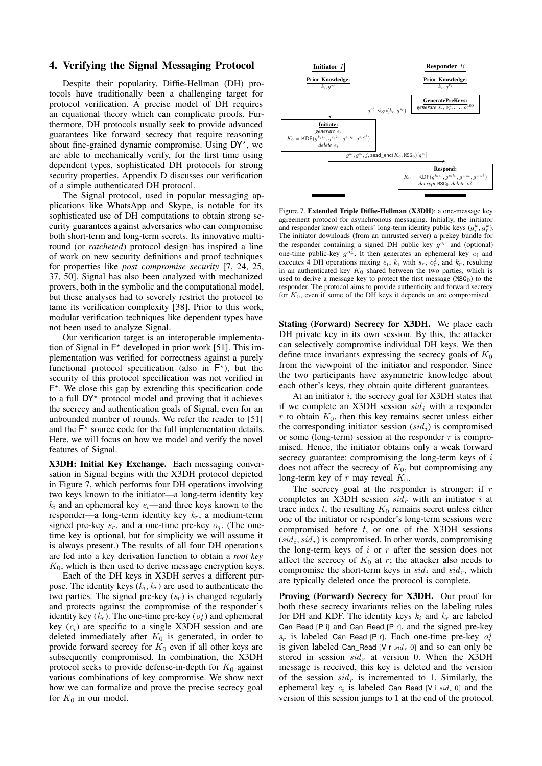#### <span id="page-12-0"></span>4. Verifying the Signal Messaging Protocol

Despite their popularity, Diffie-Hellman (DH) protocols have traditionally been a challenging target for protocol verification. A precise model of DH requires an equational theory which can complicate proofs. Furthermore, DH protocols usually seek to provide advanced guarantees like forward secrecy that require reasoning about fine-grained dynamic compromise. Using DY\*, we are able to mechanically verify, for the first time using dependent types, sophisticated DH protocols for strong security properties. Appendix [D](#page-20-0) discusses our verification of a simple authenticated DH protocol.

The Signal protocol, used in popular messaging applications like WhatsApp and Skype, is notable for its sophisticated use of DH computations to obtain strong security guarantees against adversaries who can compromise both short-term and long-term secrets. Its innovative multiround (or *ratcheted*) protocol design has inspired a line of work on new security definitions and proof techniques for properties like *post compromise security* [\[7,](#page-15-19) [24,](#page-15-20) [25,](#page-15-8) [37,](#page-16-30) [50\]](#page-16-31). Signal has also been analyzed with mechanized provers, both in the symbolic and the computational model, but these analyses had to severely restrict the protocol to tame its verification complexity [\[38\]](#page-16-15). Prior to this work, modular verification techniques like dependent types have not been used to analyze Signal.

Our verification target is an interoperable implementation of Signal in  $F^*$  developed in prior work [\[51\]](#page-16-24). This implementation was verified for correctness against a purely functional protocol specification (also in  $F^*$ ), but the security of this protocol specification was not verified in F ? . We close this gap by extending this specification code to a full  $DY^*$  protocol model and proving that it achieves the secrecy and authentication goals of Signal, even for an unbounded number of rounds. We refer the reader to [\[51\]](#page-16-24) and the  $F^*$  source code for the full implementation details. Here, we will focus on how we model and verify the novel features of Signal.

X3DH: Initial Key Exchange. Each messaging conversation in Signal begins with the X3DH protocol depicted in Figure [7,](#page-12-1) which performs four DH operations involving two keys known to the initiator—a long-term identity key  $k_i$  and an ephemeral key  $e_i$ —and three keys known to the responder—a long-term identity key  $k_r$ , a medium-term signed pre-key  $s_r$ , and a one-time pre-key  $o_i$ . (The onetime key is optional, but for simplicity we will assume it is always present.) The results of all four DH operations are fed into a key derivation function to obtain a *root key*  $K<sub>0</sub>$ , which is then used to derive message encryption keys.

Each of the DH keys in X3DH serves a different purpose. The identity keys  $(k_i, k_r)$  are used to authenticate the two parties. The signed pre-key  $(s_r)$  is changed regularly and protects against the compromise of the responder's identity key  $(k_r)$ . The one-time pre-key  $(o_r^j)$  and ephemeral key  $(e_i)$  are specific to a single X3DH session and are deleted immediately after  $K_0$  is generated, in order to provide forward secrecy for  $K_0$  even if all other keys are subsequently compromised. In combination, the X3DH protocol seeks to provide defense-in-depth for  $K_0$  against various combinations of key compromise. We show next how we can formalize and prove the precise secrecy goal for  $K_0$  in our model.



<span id="page-12-1"></span>Figure 7. Extended Triple Diffie-Hellman (X3DH): a one-message key agreement protocol for asynchronous messaging. Initially, the initiator and responder know each others' long-term identity public keys  $(g_i^k, g_r^k)$ . The initiator downloads (from an untrusted server) a prekey bundle for the responder containing a signed DH public key  $g^{s_r}$  and (optional) one-time public-key  $g^{o_r^{\overline{j}}}$ . It then generates an ephemeral key  $e_i$  and executes 4 DH operations mixing  $e_i$ ,  $k_i$  with  $s_r$ ,  $o_r^j$ , and  $k_r$ , resulting in an authenticated key  $K_0$  shared between the two parties, which is used to derive a message key to protect the first message  $(MSG<sub>0</sub>)$  to the responder. The protocol aims to provide authenticity and forward secrecy for  $K_0$ , even if some of the DH keys it depends on are compromised.

Stating (Forward) Secrecy for X3DH. We place each DH private key in its own session. By this, the attacker can selectively compromise individual DH keys. We then define trace invariants expressing the secrecy goals of  $K_0$ from the viewpoint of the initiator and responder. Since the two participants have asymmetric knowledge about each other's keys, they obtain quite different guarantees.

At an initiator  $i$ , the secrecy goal for X3DH states that if we complete an X3DH session  $sid_i$  with a responder  $r$  to obtain  $K_0$ , then this key remains secret unless either the corresponding initiator session  $(sid<sub>i</sub>)$  is compromised or some (long-term) session at the responder  $r$  is compromised. Hence, the initiator obtains only a weak forward secrecy guarantee: compromising the long-term keys of  $i$ does not affect the secrecy of  $K_0$ , but compromising any long-term key of  $r$  may reveal  $K_0$ .

The secrecy goal at the responder is stronger: if  $r$ completes an X3DH session  $sid_r$  with an initiator i at trace index  $t$ , the resulting  $K_0$  remains secret unless either one of the initiator or responder's long-term sessions were compromised before  $t$ , or one of the X3DH sessions  $(sid<sub>i</sub>, sid<sub>r</sub>)$  is compromised. In other words, compromising the long-term keys of  $i$  or  $r$  after the session does not affect the secrecy of  $K_0$  at r; the attacker also needs to compromise the short-term keys in  $sid_i$  and  $sid_r$ , which are typically deleted once the protocol is complete.

Proving (Forward) Secrecy for X3DH. Our proof for both these secrecy invariants relies on the labeling rules for DH and KDF. The identity keys  $k_i$  and  $k_r$  are labeled Can\_Read [P i] and Can\_Read [P r], and the signed pre-key  $s_r$  is labeled Can\_Read [P r]. Each one-time pre-key  $o_r^j$ is given labeled Can\_Read [V r  $sid_r$  0] and so can only be stored in session  $sid_r$  at version 0. When the X3DH message is received, this key is deleted and the version of the session  $sid_r$  is incremented to 1. Similarly, the ephemeral key  $e_i$  is labeled Can\_Read [V i  $sid_i$  0] and the version of this session jumps to 1 at the end of the protocol.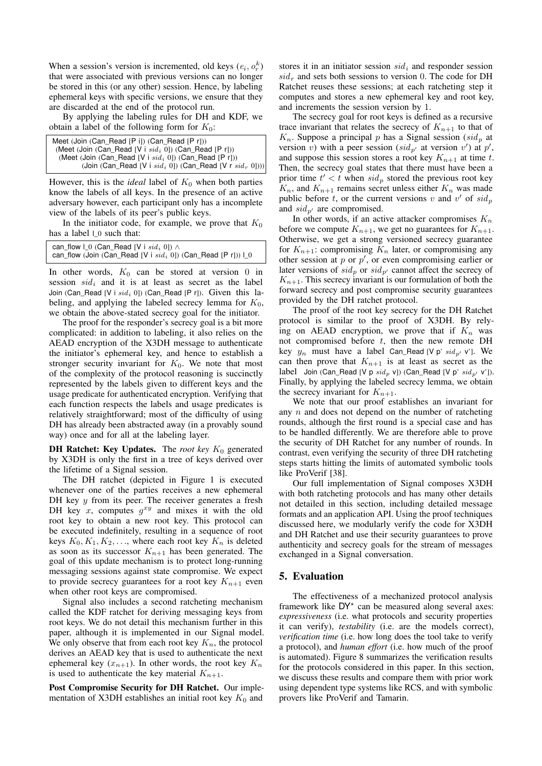When a session's version is incremented, old keys  $(e_i, o_r^k)$ that were associated with previous versions can no longer be stored in this (or any other) session. Hence, by labeling ephemeral keys with specific versions, we ensure that they are discarded at the end of the protocol run.

By applying the labeling rules for DH and KDF, we obtain a label of the following form for  $K_0$ :

| Meet (Join (Can Read [P i]) (Can Read [P r]))                 |
|---------------------------------------------------------------|
| (Meet (Join (Can Read [V i $sid_i$ 0]) (Can Read [P r]))      |
| (Meet (Join (Can Read [V i $sid_i$ 0]) (Can Read [P r]))      |
| (Join (Can Read [V i $sid_i$ 0]) (Can Read [V r $sid_r$ 0]))) |

However, this is the *ideal* label of  $K_0$  when both parties know the labels of all keys. In the presence of an active adversary however, each participant only has a incomplete view of the labels of its peer's public keys.

In the initiator code, for example, we prove that  $K_0$ has a label  $\textsf{L}_0$  such that:

| can flow 1 0 (Can Read [V i $sid_i$ 0]) $\wedge$                     |  |
|----------------------------------------------------------------------|--|
| can_flow (Join (Can_Read [V i $sid_i$ 0]) (Can_Read [P r])) $\Box$ 0 |  |

In other words,  $K_0$  can be stored at version 0 in session  $sid_i$  and it is at least as secret as the label Join (Can\_Read [V i  $sid_i$  0]) (Can\_Read [P r]). Given this labeling, and applying the labeled secrecy lemma for  $K_0$ , we obtain the above-stated secrecy goal for the initiator.

The proof for the responder's secrecy goal is a bit more complicated: in addition to labeling, it also relies on the AEAD encryption of the X3DH message to authenticate the initiator's ephemeral key, and hence to establish a stronger security invariant for  $K_0$ . We note that most of the complexity of the protocol reasoning is succinctly represented by the labels given to different keys and the usage predicate for authenticated encryption. Verifying that each function respects the labels and usage predicates is relatively straightforward; most of the difficulty of using DH has already been abstracted away (in a provably sound way) once and for all at the labeling layer.

**DH Ratchet: Key Updates.** The *root key*  $K_0$  generated by X3DH is only the first in a tree of keys derived over the lifetime of a Signal session.

The DH ratchet (depicted in Figure [1](#page-2-0) is executed whenever one of the parties receives a new ephemeral DH key  $y$  from its peer. The receiver generates a fresh DH key x, computes  $g^{xy}$  and mixes it with the old root key to obtain a new root key. This protocol can be executed indefinitely, resulting in a sequence of root keys  $K_0, K_1, K_2, \ldots$ , where each root key  $K_n$  is deleted as soon as its successor  $K_{n+1}$  has been generated. The goal of this update mechanism is to protect long-running messaging sessions against state compromise. We expect to provide secrecy guarantees for a root key  $K_{n+1}$  even when other root keys are compromised.

Signal also includes a second ratcheting mechanism called the KDF ratchet for deriving messaging keys from root keys. We do not detail this mechanism further in this paper, although it is implemented in our Signal model. We only observe that from each root key  $K_n$ , the protocol derives an AEAD key that is used to authenticate the next ephemeral key  $(x_{n+1})$ . In other words, the root key  $K_n$ is used to authenticate the key material  $K_{n+1}$ .

Post Compromise Security for DH Ratchet. Our implementation of X3DH establishes an initial root key  $K_0$  and stores it in an initiator session  $sid_i$  and responder session  $sid_r$  and sets both sessions to version 0. The code for DH Ratchet reuses these sessions; at each ratcheting step it computes and stores a new ephemeral key and root key, and increments the session version by 1.

The secrecy goal for root keys is defined as a recursive trace invariant that relates the secrecy of  $K_{n+1}$  to that of  $K_n$ . Suppose a principal p has a Signal session (sid<sub>p</sub> at version v) with a peer session (sid<sub>p'</sub> at version v') at p', and suppose this session stores a root key  $K_{n+1}$  at time t. Then, the secrecy goal states that there must have been a prior time  $t' < t$  when  $sid_p$  stored the previous root key  $K_n$ , and  $K_{n+1}$  remains secret unless either  $K_n$  was made public before t, or the current versions v and v' of  $sid_p$ and  $sid_{p'}$  are compromised.

In other words, if an active attacker compromises  $K_n$ before we compute  $K_{n+1}$ , we get no guarantees for  $K_{n+1}$ . Otherwise, we get a strong versioned secrecy guarantee for  $K_{n+1}$ : compromising  $K_n$  later, or compromising any other session at  $p$  or  $p'$ , or even compromising earlier or later versions of  $sid_p$  or  $sid_{p'}$  cannot affect the secrecy of  $K_{n+1}$ . This secrecy invariant is our formulation of both the forward secrecy and post compromise security guarantees provided by the DH ratchet protocol.

The proof of the root key secrecy for the DH Ratchet protocol is similar to the proof of X3DH. By relying on AEAD encryption, we prove that if  $K_n$  was not compromised before  $t$ , then the new remote DH key  $y_n$  must have a label Can\_Read [V p'  $sid_{p'}$  v']. We can then prove that  $K_{n+1}$  is at least as secret as the label Join (Can\_Read [V p  $sid_p$  v]) (Can\_Read [V p'  $sid_{p'}$  v']). Finally, by applying the labeled secrecy lemma, we obtain the secrecy invariant for  $K_{n+1}$ .

We note that our proof establishes an invariant for any  $n$  and does not depend on the number of ratcheting rounds, although the first round is a special case and has to be handled differently. We are therefore able to prove the security of DH Ratchet for any number of rounds. In contrast, even verifying the security of three DH ratcheting steps starts hitting the limits of automated symbolic tools like ProVerif [\[38\]](#page-16-15).

Our full implementation of Signal composes X3DH with both ratcheting protocols and has many other details not detailed in this section, including detailed message formats and an application API. Using the proof techniques discussed here, we modularly verify the code for X3DH and DH Ratchet and use their security guarantees to prove authenticity and secrecy goals for the stream of messages exchanged in a Signal conversation.

#### <span id="page-13-0"></span>5. Evaluation

The effectiveness of a mechanized protocol analysis framework like  $DY^*$  can be measured along several axes: *expressiveness* (i.e. what protocols and security properties it can verify), *testability* (i.e. are the models correct), *verification time* (i.e. how long does the tool take to verify a protocol), and *human effort* (i.e. how much of the proof is automated). Figure [8](#page-14-1) summarizes the verification results for the protocols considered in this paper. In this section, we discuss these results and compare them with prior work using dependent type systems like RCS, and with symbolic provers like ProVerif and Tamarin.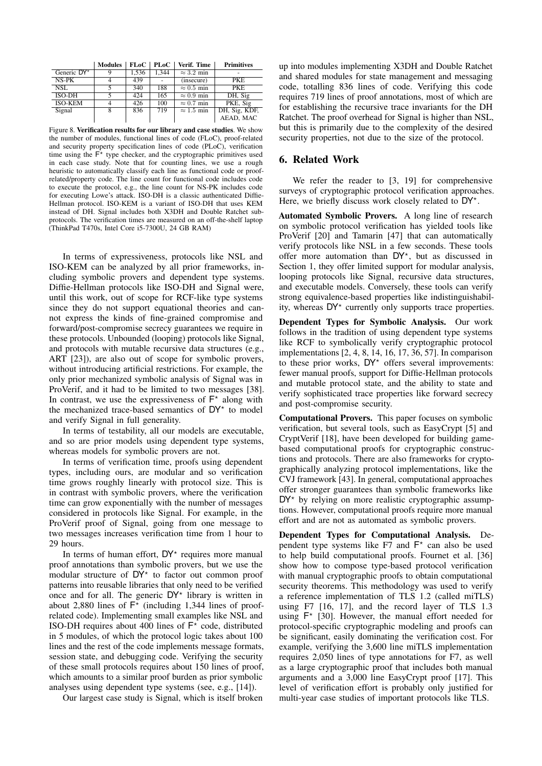|                | <b>Modules</b> | FLoC  | PLoC  | Verif. Time       | <b>Primitives</b> |
|----------------|----------------|-------|-------|-------------------|-------------------|
| Generic DY*    |                | 1,536 | 1.344 | $\approx$ 3.2 min |                   |
| $NS-PK$        |                | 439   |       | (insecure)        | <b>PKE</b>        |
| NSL.           |                | 340   | 188   | $\approx 0.5$ min | <b>PKE</b>        |
| ISO-DH         |                | 424   | 165   | $\approx 0.9$ min | DH, Sig           |
| <b>ISO-KEM</b> |                | 426   | 100   | $\approx 0.7$ min | PKE, Sig          |
| Signal         | 8              | 836   | 719   | $\approx 1.5$ min | DH, Sig, KDF,     |
|                |                |       |       |                   | AEAD, MAC         |

<span id="page-14-1"></span>Figure 8. Verification results for our library and case studies. We show the number of modules, functional lines of code (FLoC), proof-related and security property specification lines of code (PLoC), verification time using the  $\overline{\mathsf{F}}^*$  type checker, and the cryptographic primitives used in each case study. Note that for counting lines, we use a rough heuristic to automatically classify each line as functional code or proofrelated/property code. The line count for functional code includes code to execute the protocol, e.g., the line count for NS-PK includes code for executing Lowe's attack. ISO-DH is a classic authenticated Diffie-Hellman protocol. ISO-KEM is a variant of ISO-DH that uses KEM instead of DH. Signal includes both X3DH and Double Ratchet subprotocols. The verification times are measured on an off-the-shelf laptop (ThinkPad T470s, Intel Core i5-7300U, 24 GB RAM)

In terms of expressiveness, protocols like NSL and ISO-KEM can be analyzed by all prior frameworks, including symbolic provers and dependent type systems. Diffie-Hellman protocols like ISO-DH and Signal were, until this work, out of scope for RCF-like type systems since they do not support equational theories and cannot express the kinds of fine-grained compromise and forward/post-compromise secrecy guarantees we require in these protocols. Unbounded (looping) protocols like Signal, and protocols with mutable recursive data structures (e.g., ART [\[23\]](#page-15-21)), are also out of scope for symbolic provers, without introducing artificial restrictions. For example, the only prior mechanized symbolic analysis of Signal was in ProVerif, and it had to be limited to two messages [\[38\]](#page-16-15). In contrast, we use the expressiveness of  $F^*$  along with the mechanized trace-based semantics of  $DY^*$  to model and verify Signal in full generality.

In terms of testability, all our models are executable, and so are prior models using dependent type systems, whereas models for symbolic provers are not.

In terms of verification time, proofs using dependent types, including ours, are modular and so verification time grows roughly linearly with protocol size. This is in contrast with symbolic provers, where the verification time can grow exponentially with the number of messages considered in protocols like Signal. For example, in the ProVerif proof of Signal, going from one message to two messages increases verification time from 1 hour to 29 hours.

In terms of human effort,  $DY^*$  requires more manual proof annotations than symbolic provers, but we use the modular structure of  $DY^*$  to factor out common proof patterns into reusable libraries that only need to be verified once and for all. The generic  $DY^*$  library is written in about 2,880 lines of  $F^*$  (including 1,344 lines of proofrelated code). Implementing small examples like NSL and ISO-DH requires about 400 lines of  $F^*$  code, distributed in 5 modules, of which the protocol logic takes about 100 lines and the rest of the code implements message formats, session state, and debugging code. Verifying the security of these small protocols requires about 150 lines of proof, which amounts to a similar proof burden as prior symbolic analyses using dependent type systems (see, e.g., [\[14\]](#page-15-15)).

Our largest case study is Signal, which is itself broken

up into modules implementing X3DH and Double Ratchet and shared modules for state management and messaging code, totalling 836 lines of code. Verifying this code requires 719 lines of proof annotations, most of which are for establishing the recursive trace invariants for the DH Ratchet. The proof overhead for Signal is higher than NSL, but this is primarily due to the complexity of the desired security properties, not due to the size of the protocol.

#### <span id="page-14-0"></span>6. Related Work

We refer the reader to [\[3,](#page-15-0) [19\]](#page-15-1) for comprehensive surveys of cryptographic protocol verification approaches. Here, we briefly discuss work closely related to  $DY^*$ .

Automated Symbolic Provers. A long line of research on symbolic protocol verification has yielded tools like ProVerif [\[20\]](#page-15-3) and Tamarin [\[47\]](#page-16-6) that can automatically verify protocols like NSL in a few seconds. These tools offer more automation than DY<sup>\*</sup>, but as discussed in Section [1,](#page-1-0) they offer limited support for modular analysis, looping protocols like Signal, recursive data structures, and executable models. Conversely, these tools can verify strong equivalence-based properties like indistinguishability, whereas DY<sup>\*</sup> currently only supports trace properties.

Dependent Types for Symbolic Analysis. Our work follows in the tradition of using dependent type systems like RCF to symbolically verify cryptographic protocol implementations [\[2,](#page-15-16) [4,](#page-15-17) [8,](#page-15-14) [14,](#page-15-15) [16,](#page-15-22) [17,](#page-15-23) [36,](#page-16-22) [57\]](#page-16-20). In comparison to these prior works,  $DY^*$  offers several improvements: fewer manual proofs, support for Diffie-Hellman protocols and mutable protocol state, and the ability to state and verify sophisticated trace properties like forward secrecy and post-compromise security.

Computational Provers. This paper focuses on symbolic verification, but several tools, such as EasyCrypt [\[5\]](#page-15-24) and CryptVerif [\[18\]](#page-15-25), have been developed for building gamebased computational proofs for cryptographic constructions and protocols. There are also frameworks for cryptographically analyzing protocol implementations, like the CVJ framework [\[43\]](#page-16-32). In general, computational approaches offer stronger guarantees than symbolic frameworks like  $DY^*$  by relying on more realistic cryptographic assumptions. However, computational proofs require more manual effort and are not as automated as symbolic provers.

Dependent Types for Computational Analysis. Dependent type systems like  $F7$  and  $F^*$  can also be used to help build computational proofs. Fournet et al. [\[36\]](#page-16-22) show how to compose type-based protocol verification with manual cryptographic proofs to obtain computational security theorems. This methodology was used to verify a reference implementation of TLS 1.2 (called miTLS) using F7 [\[16,](#page-15-22) [17\]](#page-15-23), and the record layer of TLS 1.3 using  $F^*$  [\[30\]](#page-16-33). However, the manual effort needed for protocol-specific cryptographic modeling and proofs can be significant, easily dominating the verification cost. For example, verifying the 3,600 line miTLS implementation requires 2,050 lines of type annotations for F7, as well as a large cryptographic proof that includes both manual arguments and a 3,000 line EasyCrypt proof [\[17\]](#page-15-23). This level of verification effort is probably only justified for multi-year case studies of important protocols like TLS.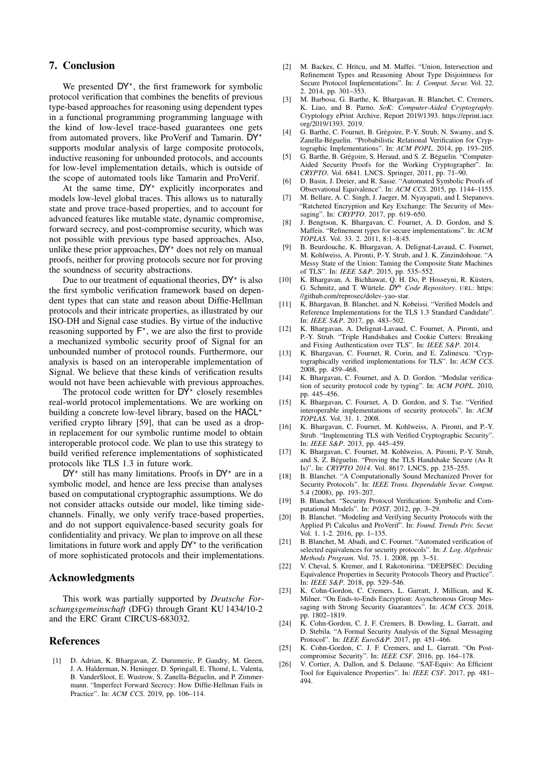#### 7. Conclusion

We presented  $DY^*$ , the first framework for symbolic protocol verification that combines the benefits of previous type-based approaches for reasoning using dependent types in a functional programming programming language with the kind of low-level trace-based guarantees one gets from automated provers, like ProVerif and Tamarin.  $DY^*$ supports modular analysis of large composite protocols, inductive reasoning for unbounded protocols, and accounts for low-level implementation details, which is outside of the scope of automated tools like Tamarin and ProVerif.

At the same time,  $DY^*$  explicitly incorporates and models low-level global traces. This allows us to naturally state and prove trace-based properties, and to account for advanced features like mutable state, dynamic compromise, forward secrecy, and post-compromise security, which was not possible with previous type based approaches. Also, unlike these prior approaches,  $DY^*$  does not rely on manual proofs, neither for proving protocols secure nor for proving the soundness of security abstractions.

Due to our treatment of equational theories,  $DY^*$  is also the first symbolic verification framework based on dependent types that can state and reason about Diffie-Hellman protocols and their intricate properties, as illustrated by our ISO-DH and Signal case studies. By virtue of the inductive reasoning supported by  $F^*$ , we are also the first to provide a mechanized symbolic security proof of Signal for an unbounded number of protocol rounds. Furthermore, our analysis is based on an interoperable implementation of Signal. We believe that these kinds of verification results would not have been achievable with previous approaches.

The protocol code written for  $DY^*$  closely resembles real-world protocol implementations. We are working on building a concrete low-level library, based on the  $HACL^*$ verified crypto library [\[59\]](#page-16-34), that can be used as a dropin replacement for our symbolic runtime model to obtain interoperable protocol code. We plan to use this strategy to build verified reference implementations of sophisticated protocols like TLS 1.3 in future work.

 $DY^*$  still has many limitations. Proofs in  $DY^*$  are in a symbolic model, and hence are less precise than analyses based on computational cryptographic assumptions. We do not consider attacks outside our model, like timing sidechannels. Finally, we only verify trace-based properties, and do not support equivalence-based security goals for confidentiality and privacy. We plan to improve on all these limitations in future work and apply  $DY^*$  to the verification of more sophisticated protocols and their implementations.

#### Acknowledgments

This work was partially supported by *Deutsche Forschungsgemeinschaft* (DFG) through Grant KU 1434/10-2 and the ERC Grant CIRCUS-683032.

#### References

<span id="page-15-9"></span>[1] D. Adrian, K. Bhargavan, Z. Durumeric, P. Gaudry, M. Green, J. A. Halderman, N. Heninger, D. Springall, E. Thomé, L. Valenta, B. VanderSloot, E. Wustrow, S. Zanella-Béguelin, and P. Zimmermann. "Imperfect Forward Secrecy: How Diffie-Hellman Fails in Practice". In: *ACM CCS*. 2019, pp. 106–114.

- <span id="page-15-16"></span>[2] M. Backes, C. Hritcu, and M. Maffei. "Union, Intersection and Refinement Types and Reasoning About Type Disjointness for Secure Protocol Implementations". In: *J. Comput. Secur.* Vol. 22. 2. 2014, pp. 301–353.
- <span id="page-15-0"></span>[3] M. Barbosa, G. Barthe, K. Bhargavan, B. Blanchet, C. Cremers, K. Liao, and B. Parno. *SoK: Computer-Aided Cryptography*. Cryptology ePrint Archive, Report 2019/1393. [https://eprint.iacr.](https://eprint.iacr.org/2019/1393) [org/2019/1393.](https://eprint.iacr.org/2019/1393) 2019.
- <span id="page-15-17"></span>[4] G. Barthe, C. Fournet, B. Grégoire, P.-Y. Strub, N. Swamy, and S. Zanella-Béguelin. "Probabilistic Relational Verification for Cryptographic Implementations". In: *ACM POPL*. 2014, pp. 193–205.
- <span id="page-15-24"></span>[5] G. Barthe, B. Grégoire, S. Heraud, and S. Z. Béguelin. "Computer-Aided Security Proofs for the Working Cryptographer". In: *CRYPTO*. Vol. 6841. LNCS. Springer, 2011, pp. 71–90.
- <span id="page-15-4"></span>D. Basin, J. Dreier, and R. Sasse. "Automated Symbolic Proofs of Observational Equivalence". In: *ACM CCS*. 2015, pp. 1144–1155.
- <span id="page-15-19"></span>[7] M. Bellare, A. C. Singh, J. Jaeger, M. Nyayapati, and I. Stepanovs. "Ratcheted Encryption and Key Exchange: The Security of Messaging". In: *CRYPTO*. 2017, pp. 619–650.
- <span id="page-15-14"></span>[8] J. Bengtson, K. Bhargavan, C. Fournet, A. D. Gordon, and S. Maffeis. "Refinement types for secure implementations". In: *ACM TOPLAS*. Vol. 33. 2. 2011, 8:1–8:45.
- <span id="page-15-11"></span>[9] B. Beurdouche, K. Bhargavan, A. Delignat-Lavaud, C. Fournet, M. Kohlweiss, A. Pironti, P.-Y. Strub, and J. K. Zinzindohoue. "A Messy State of the Union: Taming the Composite State Machines of TLS". In: *IEEE S&P*. 2015, pp. 535–552.
- <span id="page-15-18"></span>[10] K. Bhargavan, A. Bichhawat, Q. H. Do, P. Hosseyni, R. Küsters, G. Schmitz, and T. Würtele. *DY*? *Code Repository*. URL: [https:](https://github.com/reprosec/dolev-yao-star) [//github.com/reprosec/dolev-yao-star.](https://github.com/reprosec/dolev-yao-star)
- <span id="page-15-2"></span>[11] K. Bhargavan, B. Blanchet, and N. Kobeissi. "Verified Models and Reference Implementations for the TLS 1.3 Standard Candidate". In: *IEEE S&P*. 2017, pp. 483–502.
- <span id="page-15-10"></span>[12] K. Bhargavan, A. Delignat-Lavaud, C. Fournet, A. Pironti, and P.-Y. Strub. "Triple Handshakes and Cookie Cutters: Breaking and Fixing Authentication over TLS". In: *IEEE S&P*. 2014.
- <span id="page-15-13"></span>[13] K. Bhargavan, C. Fournet, R. Corin, and E. Zalinescu. "Cryptographically verified implementations for TLS". In: *ACM CCS*. 2008, pp. 459–468.
- <span id="page-15-15"></span>[14] K. Bhargavan, C. Fournet, and A. D. Gordon. "Modular verification of security protocol code by typing". In: *ACM POPL*. 2010, pp. 445–456.
- <span id="page-15-12"></span>[15] K. Bhargavan, C. Fournet, A. D. Gordon, and S. Tse. "Verified interoperable implementations of security protocols". In: *ACM TOPLAS*. Vol. 31. 1. 2008.
- <span id="page-15-22"></span>[16] K. Bhargavan, C. Fournet, M. Kohlweiss, A. Pironti, and P.-Y. Strub. "Implementing TLS with Verified Cryptographic Security". In: *IEEE S&P*. 2013, pp. 445–459.
- <span id="page-15-23"></span>[17] K. Bhargavan, C. Fournet, M. Kohlweiss, A. Pironti, P.-Y. Strub, and S. Z. Béguelin. "Proving the TLS Handshake Secure (As It Is)". In: *CRYPTO 2014*. Vol. 8617. LNCS, pp. 235–255.
- <span id="page-15-25"></span>[18] B. Blanchet. "A Computationally Sound Mechanized Prover for Security Protocols". In: *IEEE Trans. Dependable Secur. Comput.* 5.4 (2008), pp. 193–207.
- <span id="page-15-1"></span>[19] B. Blanchet. "Security Protocol Verification: Symbolic and Computational Models". In: *POST*. 2012, pp. 3–29.
- <span id="page-15-3"></span>[20] B. Blanchet. "Modeling and Verifying Security Protocols with the Applied Pi Calculus and ProVerif". In: *Found. Trends Priv. Secur.* Vol. 1. 1-2. 2016, pp. 1–135.
- <span id="page-15-5"></span>[21] B. Blanchet, M. Abadi, and C. Fournet. "Automated verification of selected equivalences for security protocols". In: *J. Log. Algebraic Methods Program.* Vol. 75. 1. 2008, pp. 3–51.
- <span id="page-15-6"></span>[22] V. Cheval, S. Kremer, and I. Rakotonirina. "DEEPSEC: Deciding Equivalence Properties in Security Protocols Theory and Practice". In: *IEEE S&P*. 2018, pp. 529–546.
- <span id="page-15-21"></span>[23] K. Cohn-Gordon, C. Cremers, L. Garratt, J. Millican, and K. Milner. "On Ends-to-Ends Encryption: Asynchronous Group Messaging with Strong Security Guarantees". In: *ACM CCS*. 2018, pp. 1802–1819.
- <span id="page-15-20"></span>[24] K. Cohn-Gordon, C. J. F. Cremers, B. Dowling, L. Garratt, and D. Stebila. "A Formal Security Analysis of the Signal Messaging Protocol". In: *IEEE EuroS&P*. 2017, pp. 451–466.
- <span id="page-15-8"></span>[25] K. Cohn-Gordon, C. J. F. Cremers, and L. Garratt. "On Postcompromise Security". In: *IEEE CSF*. 2016, pp. 164–178.
- <span id="page-15-7"></span>[26] V. Cortier, A. Dallon, and S. Delaune. "SAT-Equiv: An Efficient Tool for Equivalence Properties". In: *IEEE CSF*. 2017, pp. 481– 494.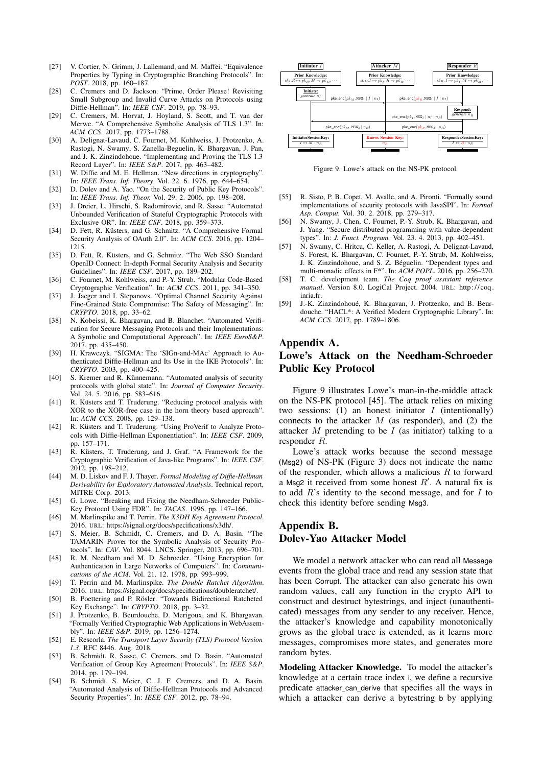- <span id="page-16-14"></span>[27] V. Cortier, N. Grimm, J. Lallemand, and M. Maffei. "Equivalence Properties by Typing in Cryptographic Branching Protocols". In: *POST*. 2018, pp. 160–187.
- <span id="page-16-25"></span>[28] C. Cremers and D. Jackson. "Prime, Order Please! Revisiting Small Subgroup and Invalid Curve Attacks on Protocols using Diffie-Hellman". In: *IEEE CSF*. 2019, pp. 78–93.
- <span id="page-16-16"></span>[29] C. Cremers, M. Horvat, J. Hoyland, S. Scott, and T. van der Merwe. "A Comprehensive Symbolic Analysis of TLS 1.3". In: *ACM CCS*. 2017, pp. 1773–1788.
- <span id="page-16-33"></span>[30] A. Delignat-Lavaud, C. Fournet, M. Kohlweiss, J. Protzenko, A. Rastogi, N. Swamy, S. Zanella-Beguelin, K. Bhargavan, J. Pan, and J. K. Zinzindohoue. "Implementing and Proving the TLS 1.3" Record Layer". In: *IEEE S&P*. 2017, pp. 463–482.
- <span id="page-16-1"></span>[31] W. Diffie and M. E. Hellman. "New directions in cryptography". In: *IEEE Trans. Inf. Theory*. Vol. 22. 6. 1976, pp. 644–654.
- <span id="page-16-4"></span>[32] D. Dolev and A. Yao. "On the Security of Public Key Protocols". In: *IEEE Trans. Inf. Theor.* Vol. 29. 2. 2006, pp. 198–208.
- <span id="page-16-9"></span>[33] J. Dreier, L. Hirschi, S. Radomirovic, and R. Sasse. "Automated Unbounded Verification of Stateful Cryptographic Protocols with Exclusive OR". In: *IEEE CSF*. 2018, pp. 359–373.
- <span id="page-16-12"></span>[34] D. Fett, R. Küsters, and G. Schmitz. "A Comprehensive Formal Security Analysis of OAuth 2.0". In: *ACM CCS*. 2016, pp. 1204– 1215.
- <span id="page-16-13"></span>[35] D. Fett, R. Küsters, and G. Schmitz. "The Web SSO Standard OpenID Connect: In-depth Formal Security Analysis and Security Guidelines". In: *IEEE CSF*. 2017, pp. 189–202.
- <span id="page-16-22"></span>[36] C. Fournet, M. Kohlweiss, and P.-Y. Strub. "Modular Code-Based Cryptographic Verification". In: *ACM CCS*. 2011, pp. 341–350.
- <span id="page-16-30"></span>[37] J. Jaeger and I. Stepanovs. "Optimal Channel Security Against Fine-Grained State Compromise: The Safety of Messaging". In: *CRYPTO*. 2018, pp. 33–62.
- <span id="page-16-15"></span>[38] N. Kobeissi, K. Bhargavan, and B. Blanchet. "Automated Verification for Secure Messaging Protocols and their Implementations: A Symbolic and Computational Approach". In: *IEEE EuroS&P*. 2017, pp. 435–450.
- <span id="page-16-35"></span>[39] H. Krawczyk. "SIGMA: The 'SIGn-and-MAc' Approach to Authenticated Diffie-Hellman and Its Use in the IKE Protocols". In: *CRYPTO*. 2003, pp. 400–425.
- <span id="page-16-11"></span>[40] S. Kremer and R. Künnemann. "Automated analysis of security protocols with global state". In: *Journal of Computer Security*. Vol. 24. 5. 2016, pp. 583–616.
- <span id="page-16-10"></span>[41] R. Küsters and T. Truderung. "Reducing protocol analysis with XOR to the XOR-free case in the horn theory based approach". In: *ACM CCS*. 2008, pp. 129–138.
- <span id="page-16-7"></span>[42] R. Küsters and T. Truderung. "Using ProVerif to Analyze Protocols with Diffie-Hellman Exponentiation". In: *IEEE CSF*. 2009, pp. 157–171.
- <span id="page-16-32"></span>[43] R. Küsters, T. Truderung, and J. Graf. "A Framework for the Cryptographic Verification of Java-like Programs". In: *IEEE CSF*. 2012, pp. 198–212.
- <span id="page-16-26"></span>[44] M. D. Liskov and F. J. Thayer. *Formal Modeling of Diffie-Hellman Derivability for Exploratory Automated Analysis*. Technical report, MITRE Corp. 2013.
- <span id="page-16-5"></span>[45] G. Lowe. "Breaking and Fixing the Needham-Schroeder Public-Key Protocol Using FDR". In: *TACAS*. 1996, pp. 147–166.
- <span id="page-16-3"></span>[46] M. Marlinspike and T. Perrin. *The X3DH Key Agreement Protocol*. 2016. URL: [https://signal.org/docs/specifications/x3dh/.](https://signal.org/docs/specifications/x3dh/)
- <span id="page-16-6"></span>[47] S. Meier, B. Schmidt, C. Cremers, and D. A. Basin. "The TAMARIN Prover for the Symbolic Analysis of Security Protocols". In: *CAV*. Vol. 8044. LNCS. Springer, 2013, pp. 696–701.
- <span id="page-16-0"></span>[48] R. M. Needham and M. D. Schroeder. "Using Encryption for Authentication in Large Networks of Computers". In: *Communications of the ACM*. Vol. 21. 12. 1978, pp. 993–999.
- <span id="page-16-17"></span>[49] T. Perrin and M. Marlinspike. *The Double Ratchet Algorithm*. 2016. URL: [https://signal.org/docs/specifications/doubleratchet/.](https://signal.org/docs/specifications/doubleratchet/)
- <span id="page-16-31"></span>[50] B. Poettering and P. Rösler. "Towards Bidirectional Ratcheted Key Exchange". In: *CRYPTO*. 2018, pp. 3–32.
- <span id="page-16-24"></span>[51] J. Protzenko, B. Beurdouche, D. Merigoux, and K. Bhargavan. "Formally Verified Cryptographic Web Applications in WebAssembly". In: *IEEE S&P*. 2019, pp. 1256–1274.
- <span id="page-16-2"></span>[52] E. Rescorla. *The Transport Layer Security (TLS) Protocol Version 1.3*. RFC 8446. Aug. 2018.
- <span id="page-16-18"></span>[53] B. Schmidt, R. Sasse, C. Cremers, and D. Basin. "Automated Verification of Group Key Agreement Protocols". In: *IEEE S&P*. 2014, pp. 179–194.
- <span id="page-16-8"></span>[54] B. Schmidt, S. Meier, C. J. F. Cremers, and D. A. Basin. "Automated Analysis of Diffie-Hellman Protocols and Advanced Security Properties". In: *IEEE CSF*. 2012, pp. 78–94.



<span id="page-16-28"></span>Figure 9. Lowe's attack on the NS-PK protocol.

- <span id="page-16-21"></span>[55] R. Sisto, P. B. Copet, M. Avalle, and A. Pironti. "Formally sound implementations of security protocols with JavaSPI". In: *Formal Asp. Comput.* Vol. 30. 2. 2018, pp. 279–317.
- <span id="page-16-23"></span>[56] N. Swamy, J. Chen, C. Fournet, P.-Y. Strub, K. Bhargavan, and J. Yang. "Secure distributed programming with value-dependent types". In: *J. Funct. Program.* Vol. 23. 4. 2013, pp. 402–451.
- <span id="page-16-20"></span>[57] N. Swamy, C. Hritcu, C. Keller, A. Rastogi, A. Delignat-Lavaud, S. Forest, K. Bhargavan, C. Fournet, P.-Y. Strub, M. Kohlweiss, J. K. Zinzindohoue, and S. Z. Béguelin. "Dependent types and multi-monadic effects in F\*". In: *ACM POPL*. 2016, pp. 256–270.
- <span id="page-16-19"></span>[58] T. C. development team. *The Coq proof assistant reference manual*. Version 8.0. LogiCal Project. 2004. URL: [http:// coq .](http://coq.inria.fr) [inria.fr.](http://coq.inria.fr)
- <span id="page-16-34"></span>[59] J.-K. Zinzindohoué, K. Bhargavan, J. Protzenko, and B. Beurdouche. "HACL\*: A Verified Modern Cryptographic Library". In: *ACM CCS*. 2017, pp. 1789–1806.

#### <span id="page-16-29"></span>Appendix A.

# Lowe's Attack on the Needham-Schroeder Public Key Protocol

Figure [9](#page-16-28) illustrates Lowe's man-in-the-middle attack on the NS-PK protocol [\[45\]](#page-16-5). The attack relies on mixing two sessions:  $(1)$  an honest initiator I (intentionally) connects to the attacker  $M$  (as responder), and (2) the attacker M pretending to be I (as initiator) talking to a responder R.

Lowe's attack works because the second message (Msg2) of NS-PK (Figure [3\)](#page-7-1) does not indicate the name of the responder, which allows a malicious  $R$  to forward a Msg2 it received from some honest  $R'$ . A natural fix is to add  $R$ 's identity to the second message, and for  $I$  to check this identity before sending Msg3.

### <span id="page-16-27"></span>Appendix B. Dolev-Yao Attacker Model

We model a network attacker who can read all Message events from the global trace and read any session state that has been Corrupt. The attacker can also generate his own random values, call any function in the crypto API to construct and destruct bytestrings, and inject (unauthenticated) messages from any sender to any receiver. Hence, the attacker's knowledge and capability monotonically grows as the global trace is extended, as it learns more messages, compromises more states, and generates more random bytes.

Modeling Attacker Knowledge. To model the attacker's knowledge at a certain trace index i, we define a recursive predicate attacker\_can\_derive that specifies all the ways in which a attacker can derive a bytestring b by applying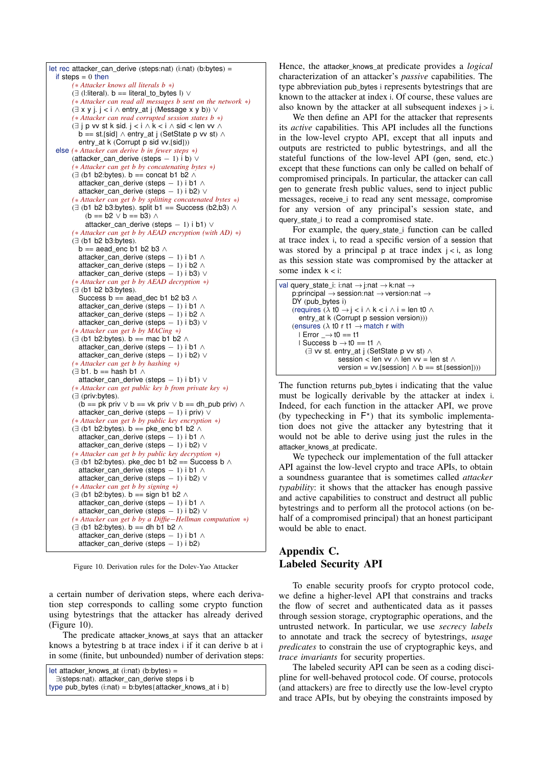

<span id="page-17-1"></span>Figure 10. Derivation rules for the Dolev-Yao Attacker

a certain number of derivation steps, where each derivation step corresponds to calling some crypto function using bytestrings that the attacker has already derived (Figure [10\)](#page-17-1).

The predicate attacker\_knows\_at says that an attacker knows a bytestring b at trace index i if it can derive b at i in some (finite, but unbounded) number of derivation steps:

let attacker\_knows\_at (i:nat) (b:bytes) =

```
type pub_bytes (i:nat) = b:bytes{attacker_knows_at i b}
```
Hence, the attacker\_knows\_at predicate provides a *logical* characterization of an attacker's *passive* capabilities. The type abbreviation pub\_bytes i represents bytestrings that are known to the attacker at index i. Of course, these values are also known by the attacker at all subsequent indexes  $i > i$ .

We then define an API for the attacker that represents its *active* capabilities. This API includes all the functions in the low-level crypto API, except that all inputs and outputs are restricted to public bytestrings, and all the stateful functions of the low-level API (gen, send, etc.) except that these functions can only be called on behalf of compromised principals. In particular, the attacker can call gen to generate fresh public values, send to inject public messages, receive i to read any sent message, compromise for any version of any principal's session state, and query\_state\_i to read a compromised state.

For example, the query\_state\_i function can be called at trace index i, to read a specific version of a session that was stored by a principal p at trace index  $j < i$ , as long as this session state was compromised by the attacker at some index  $k < i$ :

| val query_state_i: i:nat $\rightarrow$ j:nat $\rightarrow$ k:nat $\rightarrow$  |
|---------------------------------------------------------------------------------|
| p:principal $\rightarrow$ session:nat $\rightarrow$ version:nat $\rightarrow$   |
| DY (pub_bytes i)                                                                |
| (requires $(\lambda t0 \rightarrow i < i \wedge k < i \wedge i = len t0 \wedge$ |
| entry_at k (Corrupt p session version)))                                        |
| (ensures $(\lambda$ to r t1 $\rightarrow$ match r with                          |
| $I Error \rightarrow t0 == t1$                                                  |
| I Success $b \rightarrow 10 == 11 \land$                                        |
| $\exists$ vv st. entry_at j (SetState p vv st) $\wedge$                         |
| session < len vv $\land$ len vv = len st $\land$                                |
| version = $vv$ [session] $\wedge$ b == st.[session])))                          |
|                                                                                 |

The function returns pub bytes i indicating that the value must be logically derivable by the attacker at index i. Indeed, for each function in the attacker API, we prove (by typechecking in  $F^*$ ) that its symbolic implementation does not give the attacker any bytestring that it would not be able to derive using just the rules in the attacker\_knows\_at predicate.

We typecheck our implementation of the full attacker API against the low-level crypto and trace APIs, to obtain a soundness guarantee that is sometimes called *attacker typability*: it shows that the attacker has enough passive and active capabilities to construct and destruct all public bytestrings and to perform all the protocol actions (on behalf of a compromised principal) that an honest participant would be able to enact.

# <span id="page-17-0"></span>Appendix C. Labeled Security API

To enable security proofs for crypto protocol code, we define a higher-level API that constrains and tracks the flow of secret and authenticated data as it passes through session storage, cryptographic operations, and the untrusted network. In particular, we use *secrecy labels* to annotate and track the secrecy of bytestrings, *usage predicates* to constrain the use of cryptographic keys, and *trace invariants* for security properties.

The labeled security API can be seen as a coding discipline for well-behaved protocol code. Of course, protocols (and attackers) are free to directly use the low-level crypto and trace APIs, but by obeying the constraints imposed by

<sup>∃</sup>(steps:nat). attacker\_can\_derive steps i b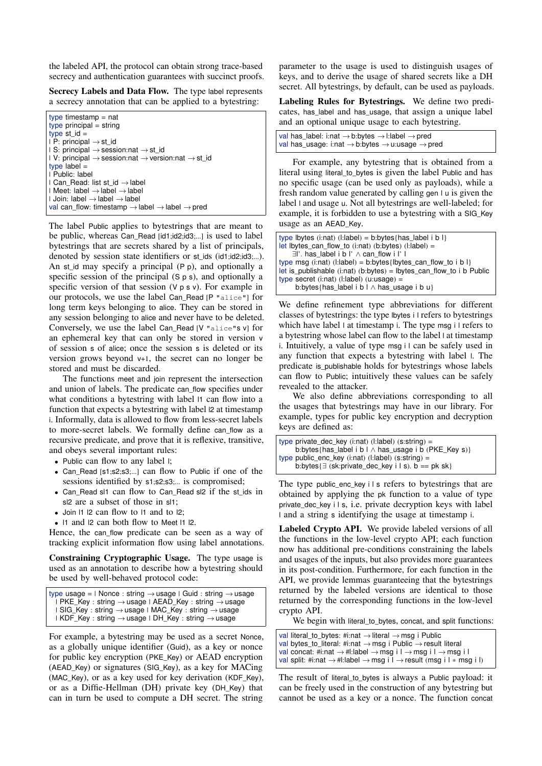the labeled API, the protocol can obtain strong trace-based secrecy and authentication guarantees with succinct proofs.

Secrecy Labels and Data Flow. The type label represents a secrecy annotation that can be applied to a bytestring:

type timestamp = nat  $type$  principal = string type st\_id  $=$  $| P:$  principal  $\rightarrow$  st\_id | S: principal → session:nat → st\_id | V: principal  $\rightarrow$  session:nat  $\rightarrow$  version:nat  $\rightarrow$  st\_id type  $l$ abel  $=$ | Public: label | Can\_Read: list st\_id → label | Meet: label → label → label | Join: label → label → label val can flow: timestamp  $\rightarrow$  label  $\rightarrow$  label  $\rightarrow$  pred

The label Public applies to bytestrings that are meant to be public, whereas Can\_Read [id1;id2;id3;...] is used to label bytestrings that are secrets shared by a list of principals, denoted by session state identifiers or st\_ids (id1;id2;id3;...). An st\_id may specify a principal  $(P \rho)$ , and optionally a specific session of the principal (S p s), and optionally a specific version of that session  $(V p s v)$ . For example in our protocols, we use the label Can\_Read [P "alice"] for long term keys belonging to alice. They can be stored in any session belonging to alice and never have to be deleted. Conversely, we use the label Can\_Read [V "alice"s v] for an ephemeral key that can only be stored in version v of session s of alice; once the session s is deleted or its version grows beyond v+1, the secret can no longer be stored and must be discarded.

The functions meet and join represent the intersection and union of labels. The predicate can\_flow specifies under what conditions a bytestring with label  $\vert$  1 can flow into a function that expects a bytestring with label l2 at timestamp i. Informally, data is allowed to flow from less-secret labels to more-secret labels. We formally define can\_flow as a recursive predicate, and prove that it is reflexive, transitive, and obeys several important rules:

- Public can flow to any label  $\mathsf{l}$ ;
- Can\_Read [s1;s2;s3;...] can flow to Public if one of the sessions identified by s1;s2;s3;... is compromised;
- Can\_Read sl1 can flow to Can\_Read sl2 if the st\_ids in sl2 are a subset of those in sl1;
- Join I1 I2 can flow to I1 and to I2;
- l1 and l2 can both flow to Meet l1 l2.

Hence, the can\_flow predicate can be seen as a way of tracking explicit information flow using label annotations.

Constraining Cryptographic Usage. The type usage is used as an annotation to describe how a bytestring should be used by well-behaved protocol code:

```
type usage = \blacksquare Nonce : string \rightarrow usage \blacksquare Guid : string \rightarrow usage
   \overline{I} PKE_Key : string \rightarrow usage \overline{I} AEAD_Key : string \rightarrow usage
  | SIG_Key : string → usage | MAC_Key : string → usage
  | KDF_Key : string → usage | DH_Key : string → usage
```
For example, a bytestring may be used as a secret Nonce, as a globally unique identifier (Guid), as a key or nonce for public key encryption (PKE\_Key) or AEAD encryption (AEAD\_Key) or signatures (SIG\_Key), as a key for MACing (MAC\_Key), or as a key used for key derivation (KDF\_Key), or as a Diffie-Hellman (DH) private key (DH\_Key) that can in turn be used to compute a DH secret. The string parameter to the usage is used to distinguish usages of keys, and to derive the usage of shared secrets like a DH secret. All bytestrings, by default, can be used as payloads.

Labeling Rules for Bytestrings. We define two predicates, has\_label and has\_usage, that assign a unique label and an optional unique usage to each bytestring.

| val has label: i:nat $\rightarrow$ b:bytes $\rightarrow$ l:label $\rightarrow$ pred |  |
|-------------------------------------------------------------------------------------|--|
| val has usage: i:nat $\rightarrow$ b:bytes $\rightarrow$ u:usage $\rightarrow$ pred |  |

For example, any bytestring that is obtained from a literal using literal\_to\_bytes is given the label Public and has no specific usage (can be used only as payloads), while a fresh random value generated by calling gen l u is given the label l and usage u. Not all bytestrings are well-labeled; for example, it is forbidden to use a bytestring with a SIG\_Key usage as an AEAD\_Key.

| type lbytes $(i:nat)$ $(l:label) = b:bytes{has label i b}$           |
|----------------------------------------------------------------------|
| let $l$ bytes_can_flow_to (i:nat) (b:bytes) (l:label) =              |
| $\exists$ '. has label i b l' $\wedge$ can flow i l' l               |
| type msg (i:nat) (l:label) = b:bytes{lbytes_can_flow_to i b l}       |
| let is publishable (i.nat) (b.bytes) = lbytes can flow to i b Public |
| type secret $(i:nat)$ $(l:label)$ $(u:usage) =$                      |
| b:bytes{has_label i b $\land$ has_usage i b u}                       |

We define refinement type abbreviations for different classes of bytestrings: the type lbytes i l refers to bytestrings which have label l at timestamp i. The type msg i l refers to a bytestring whose label can flow to the label l at timestamp i. Intuitively, a value of type msg i l can be safely used in any function that expects a bytestring with label l. The predicate is\_publishable holds for bytestrings whose labels can flow to Public; intuitively these values can be safely revealed to the attacker.

We also define abbreviations corresponding to all the usages that bytestrings may have in our library. For example, types for public key encryption and decryption keys are defined as:

```
type private_dec_key (i:nat) (l:label) (s:string) =
     b:bytes{has label i b l \wedge has usage i b (PKE Key s)}
type public_enc_key (i:nat) (l:label) (s:string) =
     b:bytes\{\exists (sk:private_dec_key i l s). b == pk sk}
```
The type public\_enc\_key i l s refers to bytestrings that are obtained by applying the pk function to a value of type private\_dec\_key i l s, i.e. private decryption keys with label l and a string s identifying the usage at timestamp i.

Labeled Crypto API. We provide labeled versions of all the functions in the low-level crypto API; each function now has additional pre-conditions constraining the labels and usages of the inputs, but also provides more guarantees in its post-condition. Furthermore, for each function in the API, we provide lemmas guaranteeing that the bytestrings returned by the labeled versions are identical to those returned by the corresponding functions in the low-level crypto API.

We begin with literal\_to\_bytes, concat, and split functions:

```
val literal_to_bytes: #i:nat \rightarrow literal \rightarrow msg i Public
val bytes_to_literal: #i:nat \rightarrow msg i Public \rightarrow result literal
val concat: #i:nat \rightarrow #l:label \rightarrow msg i l \rightarrow msg i l \rightarrow msg i l
val split: #i:nat \rightarrow #l:label \rightarrow msg i l \rightarrow result (msg i l * msg i l)
```
The result of literal\_to\_bytes is always a Public payload: it can be freely used in the construction of any bytestring but cannot be used as a key or a nonce. The function concat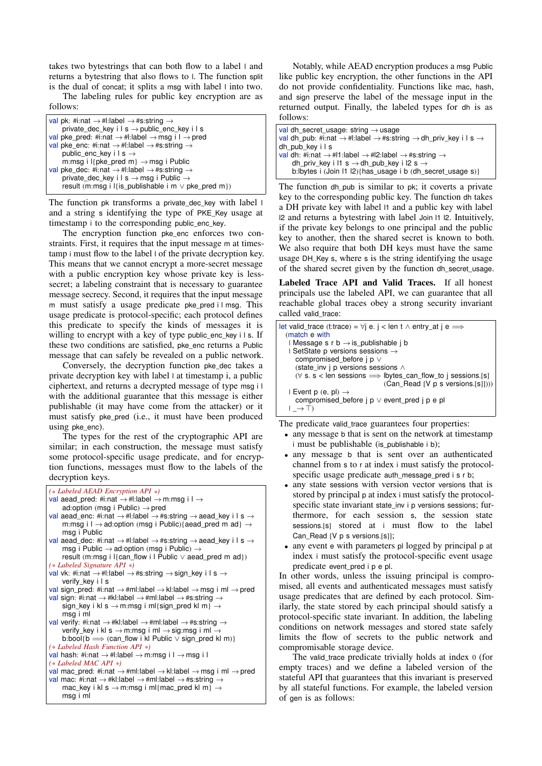takes two bytestrings that can both flow to a label l and returns a bytestring that also flows to l. The function split is the dual of concat; it splits a msg with label l into two.

The labeling rules for public key encryption are as follows:

The function pk transforms a private\_dec\_key with label l and a string s identifying the type of PKE\_Key usage at timestamp i to the corresponding public\_enc\_key.

The encryption function pke\_enc enforces two constraints. First, it requires that the input message m at timestamp i must flow to the label l of the private decryption key. This means that we cannot encrypt a more-secret message with a public encryption key whose private key is lesssecret; a labeling constraint that is necessary to guarantee message secrecy. Second, it requires that the input message m must satisfy a usage predicate pke\_pred i l msg. This usage predicate is protocol-specific; each protocol defines this predicate to specify the kinds of messages it is willing to encrypt with a key of type public\_enc\_key i l s. If these two conditions are satisfied, pke\_enc returns a Public message that can safely be revealed on a public network.

Conversely, the decryption function pke\_dec takes a private decryption key with label l at timestamp i, a public ciphertext, and returns a decrypted message of type msg i l with the additional guarantee that this message is either publishable (it may have come from the attacker) or it must satisfy pke\_pred (i.e., it must have been produced using pke\_enc).

The types for the rest of the cryptographic API are similar; in each construction, the message must satisfy some protocol-specific usage predicate, and for encryption functions, messages must flow to the labels of the decryption keys.

```
(* Labeled AEAD Encryption API *)
val aead_pred: #i:nat → #l:label → m:msg i l →
     \overline{\text{ad:option}} (msg i Public) \rightarrow pred
val aead enc: #i:nat \rightarrow #l:label \rightarrow #s:string \rightarrow aead key i l s \rightarrowm:msg i l \rightarrow ad:option (msg i Public){aead_pred m ad} \rightarrowmsg i Public
val aead_dec: #i:nat → #l:label → #s:string → aead_key i l s →
     msg i Public \rightarrow ad:option (msg i Public) \rightarrowresult (m:msg i l{can_flow i l Public \vee aead_pred m ad})
(* Labeled Signature API *)
val vk: #i:nat \rightarrow #l:label \rightarrow #s:string \rightarrow sign_key i l s \rightarrowverify_key i l s
val sign_pred: #i:nat \rightarrow #ml:label \rightarrow kl:label \rightarrow msg i ml \rightarrow pred
val sign: #i:nat \rightarrow #kl:label \rightarrow #ml:label \rightarrow #s:string \rightarrowsign_key i kl s \rightarrow m:msg i ml{sign_pred kl m} \rightarrowmsg i ml
val verify: #i:nat → #kl:label → #ml:label → #s:string →
     verify_key i kl s \rightarrow m:msg i ml \rightarrow sig:msg i ml \rightarrowb:bool{b \Longrightarrow (can_flow i kl Public \vee sign_pred kl m)}
(* Labeled Hash Function API *)
val hash: #i:nat \rightarrow #l:label \rightarrow m:msg i l \rightarrow msg i l
(* Labeled MAC API *)
val mac_pred: #i:nat \rightarrow #ml:label \rightarrow kl:label \rightarrow msg i ml \rightarrow pred
val mac: #i:nat \rightarrow #kl:label \rightarrow #ml:label \rightarrow #s:string \rightarrowmac_key i kl s \rightarrow m:msg i ml{mac_pred kl m} \rightarrowmsg i ml
```
Notably, while AEAD encryption produces a msg Public like public key encryption, the other functions in the API do not provide confidentiality. Functions like mac, hash, and sign preserve the label of the message input in the returned output. Finally, the labeled types for dh is as follows:

```
val dh_secret_usage: string → usage
val dh_pub: #i:nat → #l:label → #s:string → dh_priv_key i l s →
dh_pub_key i l s
val dh: #i:nat → #l1:label → #l2:label → #s:string →
    dh_priv_key i l1 s \rightarrow dh_pub_key i l2 s \rightarrowb:lbytes i (Join l1 l2){has_usage i b (dh_secret_usage s)}
```
The function dh\_pub is similar to pk; it coverts a private key to the corresponding public key. The function dh takes a DH private key with label l1 and a public key with label l2 and returns a bytestring with label Join l1 l2. Intuitively, if the private key belongs to one principal and the public key to another, then the shared secret is known to both. We also require that both DH keys must have the same usage DH\_Key s, where s is the string identifying the usage of the shared secret given by the function dh\_secret\_usage.

Labeled Trace API and Valid Traces. If all honest principals use the labeled API, we can guarantee that all reachable global traces obey a strong security invariant called valid\_trace:

```
let valid_trace (t:trace) = \forall j e. j < len t \land entry_at j e \Longrightarrow(match e with
   \Box Message s r b \rightarrow is publishable i b
   | SetState p versions sessions
      compromised_before j p ∨
      (state_inv j p versions sessions ∧
     (∀ s. s < len sessions =⇒ lbytes_can_flow_to j sessions.[s]
                                     (Can_Read [V p s versions.[s]])))
   | Event p (e, pl) \rightarrowcompromised_before j p ∨ event_pred j p e pl
   \vdash \rightarrow \top
```
The predicate valid\_trace guarantees four properties:

- any message b that is sent on the network at timestamp i must be publishable (is publishable i b);
- any message b that is sent over an authenticated channel from s to r at index i must satisfy the protocolspecific usage predicate auth\_message\_pred i s r b;
- any state sessions with version vector versions that is stored by principal p at index i must satisfy the protocolspecific state invariant state inv i p versions sessions; furthermore, for each session s, the session state sessions.[s] stored at i must flow to the label Can\_Read [V p s versions.[s]];
- any event e with parameters pl logged by principal p at index i must satisfy the protocol-specific event usage predicate event\_pred i p e pl.

In other words, unless the issuing principal is compromised, all events and authenticated messages must satisfy usage predicates that are defined by each protocol. Similarly, the state stored by each principal should satisfy a protocol-specific state invariant. In addition, the labeling conditions on network messages and stored state safely limits the flow of secrets to the public network and compromisable storage device.

The valid\_trace predicate trivially holds at index 0 (for empty traces) and we define a labeled version of the stateful API that guarantees that this invariant is preserved by all stateful functions. For example, the labeled version of gen is as follows: